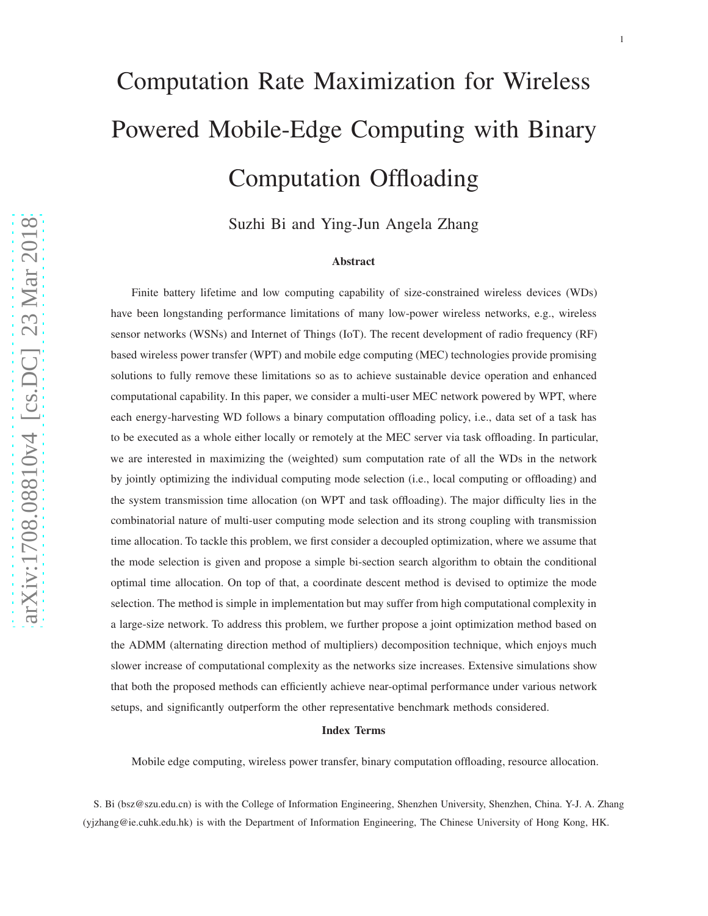# Computation Rate Maximization for Wireless Powered Mobile-Edge Computing with Binary Computation Offloading

Suzhi Bi and Ying-Jun Angela Zhang

#### Abstract

Finite battery lifetime and low computing capability of size-constrained wireless devices (WDs) have been longstanding performance limitations of many low-power wireless networks, e.g., wireless sensor networks (WSNs) and Internet of Things (IoT). The recent development of radio frequency (RF) based wireless power transfer (WPT) and mobile edge computing (MEC) technologies provide promising solutions to fully remove these limitations so as to achieve sustainable device operation and enhanced computational capability. In this paper, we consider a multi-user MEC network powered by WPT, where each energy-harvesting WD follows a binary computation offloading policy, i.e., data set of a task has to be executed as a whole either locally or remotely at the MEC server via task offloading. In particular, we are interested in maximizing the (weighted) sum computation rate of all the WDs in the network by jointly optimizing the individual computing mode selection (i.e., local computing or offloading) and the system transmission time allocation (on WPT and task offloading). The major difficulty lies in the combinatorial nature of multi-user computing mode selection and its strong coupling with transmission time allocation. To tackle this problem, we first consider a decoupled optimization, where we assume that the mode selection is given and propose a simple bi-section search algorithm to obtain the conditional optimal time allocation. On top of that, a coordinate descent method is devised to optimize the mode selection. The method is simple in implementation but may suffer from high computational complexity in a large-size network. To address this problem, we further propose a joint optimization method based on the ADMM (alternating direction method of multipliers) decomposition technique, which enjoys much slower increase of computational complexity as the networks size increases. Extensive simulations show that both the proposed methods can efficiently achieve near-optimal performance under various network setups, and significantly outperform the other representative benchmark methods considered.

#### Index Terms

Mobile edge computing, wireless power transfer, binary computation offloading, resource allocation.

S. Bi (bsz@szu.edu.cn) is with the College of Information Engineering, Shenzhen University, Shenzhen, China. Y-J. A. Zhang (yjzhang@ie.cuhk.edu.hk) is with the Department of Information Engineering, The Chinese University of Hong Kong, HK.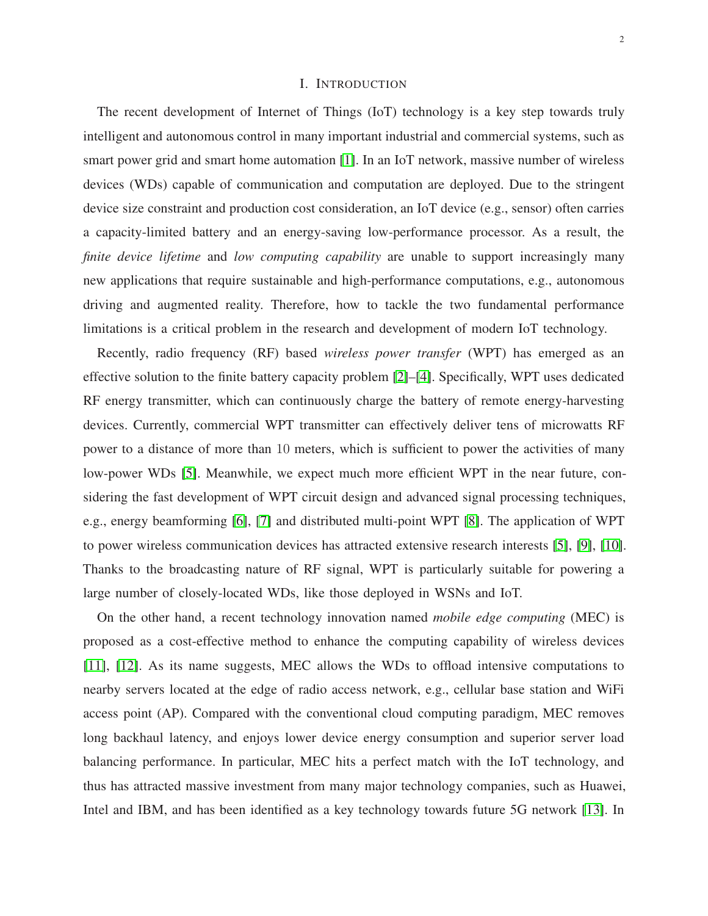# I. INTRODUCTION

The recent development of Internet of Things (IoT) technology is a key step towards truly intelligent and autonomous control in many important industrial and commercial systems, such as smart power grid and smart home automation [\[1\]](#page-28-0). In an IoT network, massive number of wireless devices (WDs) capable of communication and computation are deployed. Due to the stringent device size constraint and production cost consideration, an IoT device (e.g., sensor) often carries a capacity-limited battery and an energy-saving low-performance processor. As a result, the *finite device lifetime* and *low computing capability* are unable to support increasingly many new applications that require sustainable and high-performance computations, e.g., autonomous driving and augmented reality. Therefore, how to tackle the two fundamental performance limitations is a critical problem in the research and development of modern IoT technology.

Recently, radio frequency (RF) based *wireless power transfer* (WPT) has emerged as an effective solution to the finite battery capacity problem [\[2\]](#page-28-1)–[\[4\]](#page-29-0). Specifically, WPT uses dedicated RF energy transmitter, which can continuously charge the battery of remote energy-harvesting devices. Currently, commercial WPT transmitter can effectively deliver tens of microwatts RF power to a distance of more than 10 meters, which is sufficient to power the activities of many low-power WDs [\[5\]](#page-29-1). Meanwhile, we expect much more efficient WPT in the near future, considering the fast development of WPT circuit design and advanced signal processing techniques, e.g., energy beamforming [\[6\]](#page-29-2), [\[7\]](#page-29-3) and distributed multi-point WPT [\[8\]](#page-29-4). The application of WPT to power wireless communication devices has attracted extensive research interests [\[5\]](#page-29-1), [\[9\]](#page-29-5), [\[10\]](#page-29-6). Thanks to the broadcasting nature of RF signal, WPT is particularly suitable for powering a large number of closely-located WDs, like those deployed in WSNs and IoT.

On the other hand, a recent technology innovation named *mobile edge computing* (MEC) is proposed as a cost-effective method to enhance the computing capability of wireless devices [\[11\]](#page-29-7), [\[12\]](#page-29-8). As its name suggests, MEC allows the WDs to offload intensive computations to nearby servers located at the edge of radio access network, e.g., cellular base station and WiFi access point (AP). Compared with the conventional cloud computing paradigm, MEC removes long backhaul latency, and enjoys lower device energy consumption and superior server load balancing performance. In particular, MEC hits a perfect match with the IoT technology, and thus has attracted massive investment from many major technology companies, such as Huawei, Intel and IBM, and has been identified as a key technology towards future 5G network [\[13\]](#page-29-9). In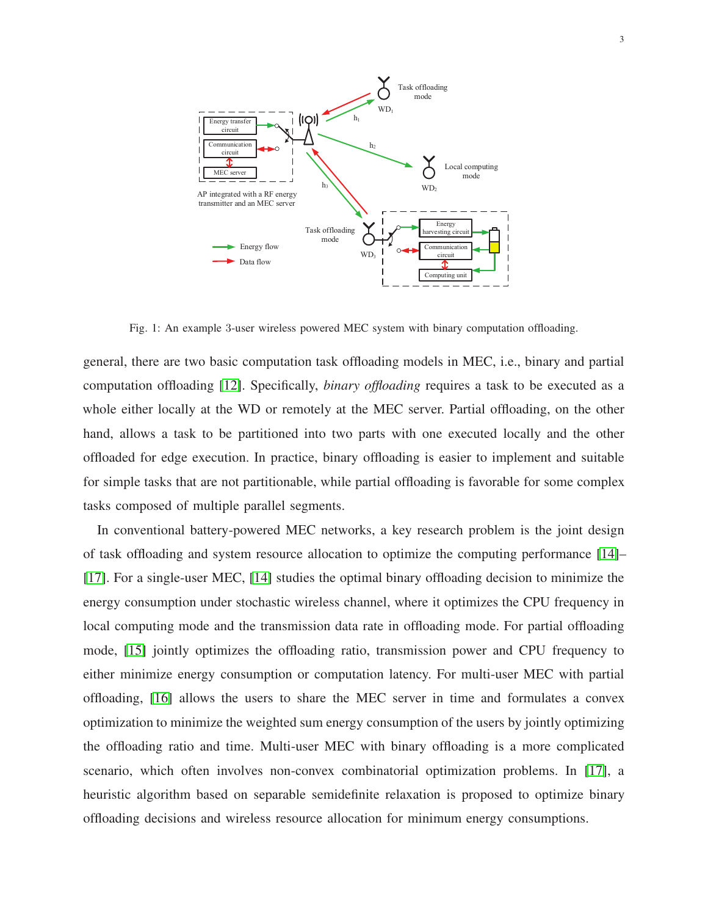<span id="page-2-0"></span>

Fig. 1: An example 3-user wireless powered MEC system with binary computation offloading.

general, there are two basic computation task offloading models in MEC, i.e., binary and partial computation offloading [\[12\]](#page-29-8). Specifically, *binary offloading* requires a task to be executed as a whole either locally at the WD or remotely at the MEC server. Partial offloading, on the other hand, allows a task to be partitioned into two parts with one executed locally and the other offloaded for edge execution. In practice, binary offloading is easier to implement and suitable for simple tasks that are not partitionable, while partial offloading is favorable for some complex tasks composed of multiple parallel segments.

In conventional battery-powered MEC networks, a key research problem is the joint design of task offloading and system resource allocation to optimize the computing performance [\[14\]](#page-29-10)– [\[17\]](#page-29-11). For a single-user MEC, [\[14\]](#page-29-10) studies the optimal binary offloading decision to minimize the energy consumption under stochastic wireless channel, where it optimizes the CPU frequency in local computing mode and the transmission data rate in offloading mode. For partial offloading mode, [\[15\]](#page-29-12) jointly optimizes the offloading ratio, transmission power and CPU frequency to either minimize energy consumption or computation latency. For multi-user MEC with partial offloading, [\[16\]](#page-29-13) allows the users to share the MEC server in time and formulates a convex optimization to minimize the weighted sum energy consumption of the users by jointly optimizing the offloading ratio and time. Multi-user MEC with binary offloading is a more complicated scenario, which often involves non-convex combinatorial optimization problems. In [\[17\]](#page-29-11), a heuristic algorithm based on separable semidefinite relaxation is proposed to optimize binary offloading decisions and wireless resource allocation for minimum energy consumptions.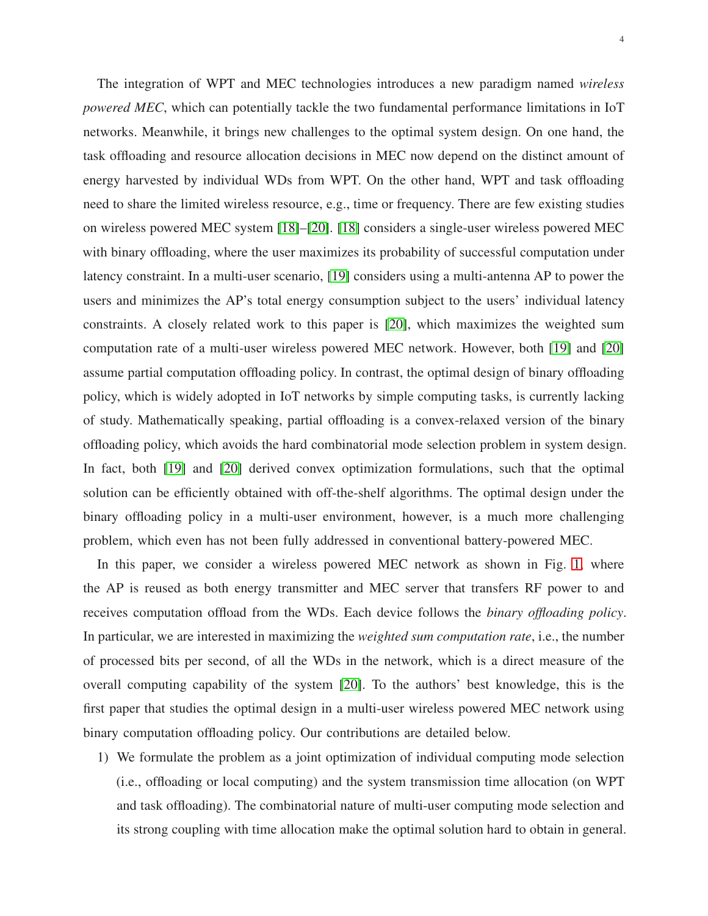The integration of WPT and MEC technologies introduces a new paradigm named *wireless powered MEC*, which can potentially tackle the two fundamental performance limitations in IoT networks. Meanwhile, it brings new challenges to the optimal system design. On one hand, the task offloading and resource allocation decisions in MEC now depend on the distinct amount of energy harvested by individual WDs from WPT. On the other hand, WPT and task offloading need to share the limited wireless resource, e.g., time or frequency. There are few existing studies on wireless powered MEC system [\[18\]](#page-29-14)–[\[20\]](#page-29-15). [\[18\]](#page-29-14) considers a single-user wireless powered MEC with binary offloading, where the user maximizes its probability of successful computation under latency constraint. In a multi-user scenario, [\[19\]](#page-29-16) considers using a multi-antenna AP to power the users and minimizes the AP's total energy consumption subject to the users' individual latency constraints. A closely related work to this paper is [\[20\]](#page-29-15), which maximizes the weighted sum computation rate of a multi-user wireless powered MEC network. However, both [\[19\]](#page-29-16) and [\[20\]](#page-29-15) assume partial computation offloading policy. In contrast, the optimal design of binary offloading policy, which is widely adopted in IoT networks by simple computing tasks, is currently lacking of study. Mathematically speaking, partial offloading is a convex-relaxed version of the binary offloading policy, which avoids the hard combinatorial mode selection problem in system design. In fact, both [\[19\]](#page-29-16) and [\[20\]](#page-29-15) derived convex optimization formulations, such that the optimal solution can be efficiently obtained with off-the-shelf algorithms. The optimal design under the binary offloading policy in a multi-user environment, however, is a much more challenging problem, which even has not been fully addressed in conventional battery-powered MEC.

In this paper, we consider a wireless powered MEC network as shown in Fig. [1,](#page-2-0) where the AP is reused as both energy transmitter and MEC server that transfers RF power to and receives computation offload from the WDs. Each device follows the *binary offloading policy*. In particular, we are interested in maximizing the *weighted sum computation rate*, i.e., the number of processed bits per second, of all the WDs in the network, which is a direct measure of the overall computing capability of the system [\[20\]](#page-29-15). To the authors' best knowledge, this is the first paper that studies the optimal design in a multi-user wireless powered MEC network using binary computation offloading policy. Our contributions are detailed below.

1) We formulate the problem as a joint optimization of individual computing mode selection (i.e., offloading or local computing) and the system transmission time allocation (on WPT and task offloading). The combinatorial nature of multi-user computing mode selection and its strong coupling with time allocation make the optimal solution hard to obtain in general.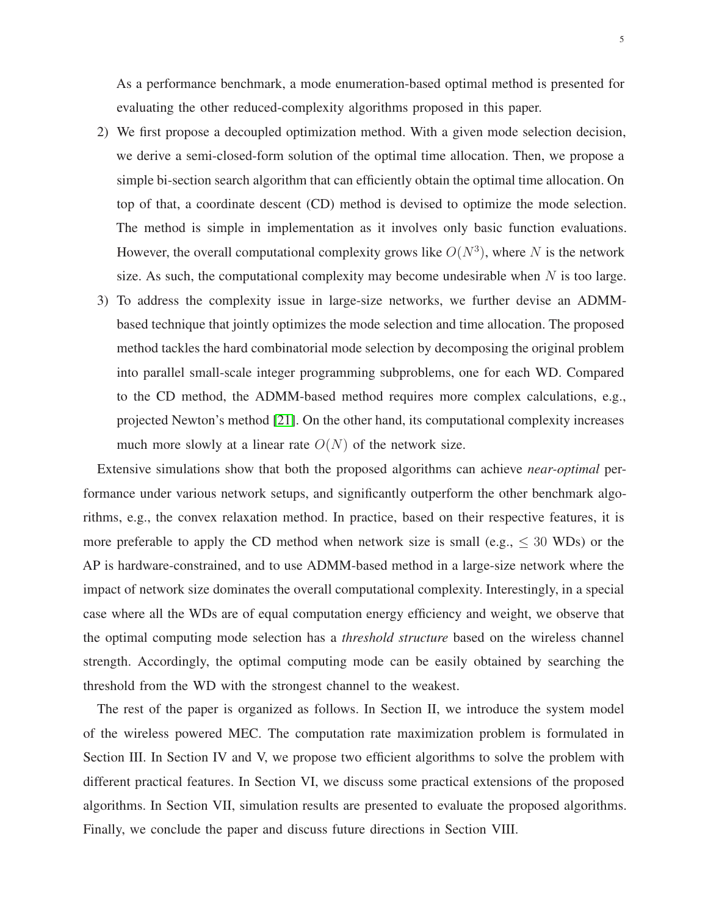- 2) We first propose a decoupled optimization method. With a given mode selection decision, we derive a semi-closed-form solution of the optimal time allocation. Then, we propose a simple bi-section search algorithm that can efficiently obtain the optimal time allocation. On top of that, a coordinate descent (CD) method is devised to optimize the mode selection. The method is simple in implementation as it involves only basic function evaluations. However, the overall computational complexity grows like  $O(N^3)$ , where N is the network size. As such, the computational complexity may become undesirable when  $N$  is too large.
- 3) To address the complexity issue in large-size networks, we further devise an ADMMbased technique that jointly optimizes the mode selection and time allocation. The proposed method tackles the hard combinatorial mode selection by decomposing the original problem into parallel small-scale integer programming subproblems, one for each WD. Compared to the CD method, the ADMM-based method requires more complex calculations, e.g., projected Newton's method [\[21\]](#page-29-17). On the other hand, its computational complexity increases much more slowly at a linear rate  $O(N)$  of the network size.

Extensive simulations show that both the proposed algorithms can achieve *near-optimal* performance under various network setups, and significantly outperform the other benchmark algorithms, e.g., the convex relaxation method. In practice, based on their respective features, it is more preferable to apply the CD method when network size is small (e.g.,  $\leq 30$  WDs) or the AP is hardware-constrained, and to use ADMM-based method in a large-size network where the impact of network size dominates the overall computational complexity. Interestingly, in a special case where all the WDs are of equal computation energy efficiency and weight, we observe that the optimal computing mode selection has a *threshold structure* based on the wireless channel strength. Accordingly, the optimal computing mode can be easily obtained by searching the threshold from the WD with the strongest channel to the weakest.

The rest of the paper is organized as follows. In Section II, we introduce the system model of the wireless powered MEC. The computation rate maximization problem is formulated in Section III. In Section IV and V, we propose two efficient algorithms to solve the problem with different practical features. In Section VI, we discuss some practical extensions of the proposed algorithms. In Section VII, simulation results are presented to evaluate the proposed algorithms. Finally, we conclude the paper and discuss future directions in Section VIII.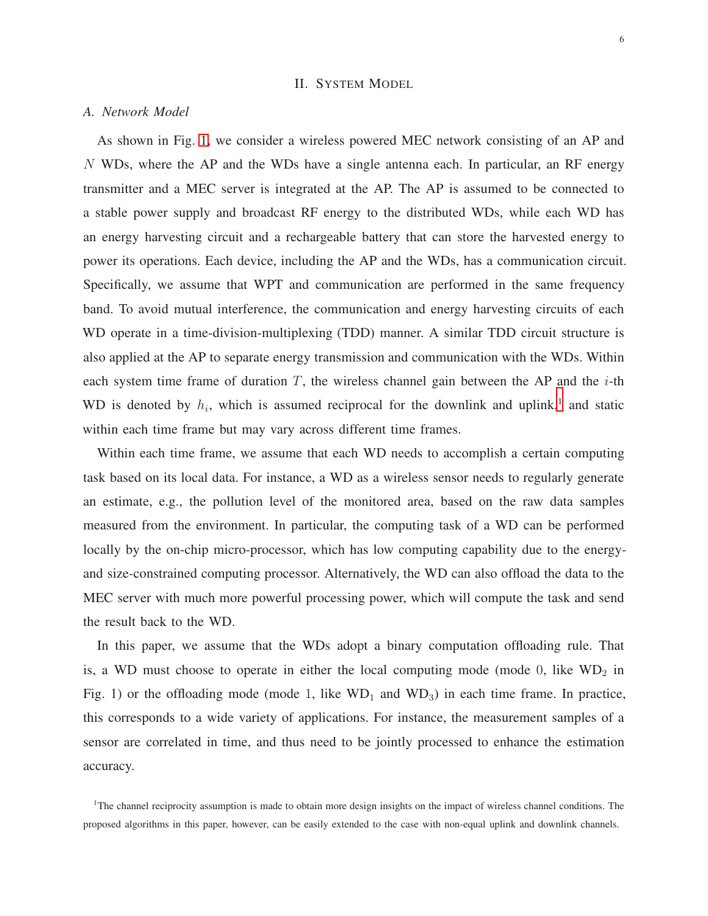### II. SYSTEM MODEL

#### *A. Network Model*

As shown in Fig. [1,](#page-2-0) we consider a wireless powered MEC network consisting of an AP and N WDs, where the AP and the WDs have a single antenna each. In particular, an RF energy transmitter and a MEC server is integrated at the AP. The AP is assumed to be connected to a stable power supply and broadcast RF energy to the distributed WDs, while each WD has an energy harvesting circuit and a rechargeable battery that can store the harvested energy to power its operations. Each device, including the AP and the WDs, has a communication circuit. Specifically, we assume that WPT and communication are performed in the same frequency band. To avoid mutual interference, the communication and energy harvesting circuits of each WD operate in a time-division-multiplexing (TDD) manner. A similar TDD circuit structure is also applied at the AP to separate energy transmission and communication with the WDs. Within each system time frame of duration  $T$ , the wireless channel gain between the AP and the  $i$ -th WD is denoted by  $h_i$ , which is assumed reciprocal for the downlink and uplink,<sup>[1](#page-5-0)</sup> and static within each time frame but may vary across different time frames.

Within each time frame, we assume that each WD needs to accomplish a certain computing task based on its local data. For instance, a WD as a wireless sensor needs to regularly generate an estimate, e.g., the pollution level of the monitored area, based on the raw data samples measured from the environment. In particular, the computing task of a WD can be performed locally by the on-chip micro-processor, which has low computing capability due to the energyand size-constrained computing processor. Alternatively, the WD can also offload the data to the MEC server with much more powerful processing power, which will compute the task and send the result back to the WD.

In this paper, we assume that the WDs adopt a binary computation offloading rule. That is, a WD must choose to operate in either the local computing mode (mode  $0$ , like WD<sub>2</sub> in Fig. 1) or the offloading mode (mode 1, like  $WD_1$  and  $WD_3$ ) in each time frame. In practice, this corresponds to a wide variety of applications. For instance, the measurement samples of a sensor are correlated in time, and thus need to be jointly processed to enhance the estimation accuracy.

<span id="page-5-0"></span> $1$ The channel reciprocity assumption is made to obtain more design insights on the impact of wireless channel conditions. The proposed algorithms in this paper, however, can be easily extended to the case with non-equal uplink and downlink channels.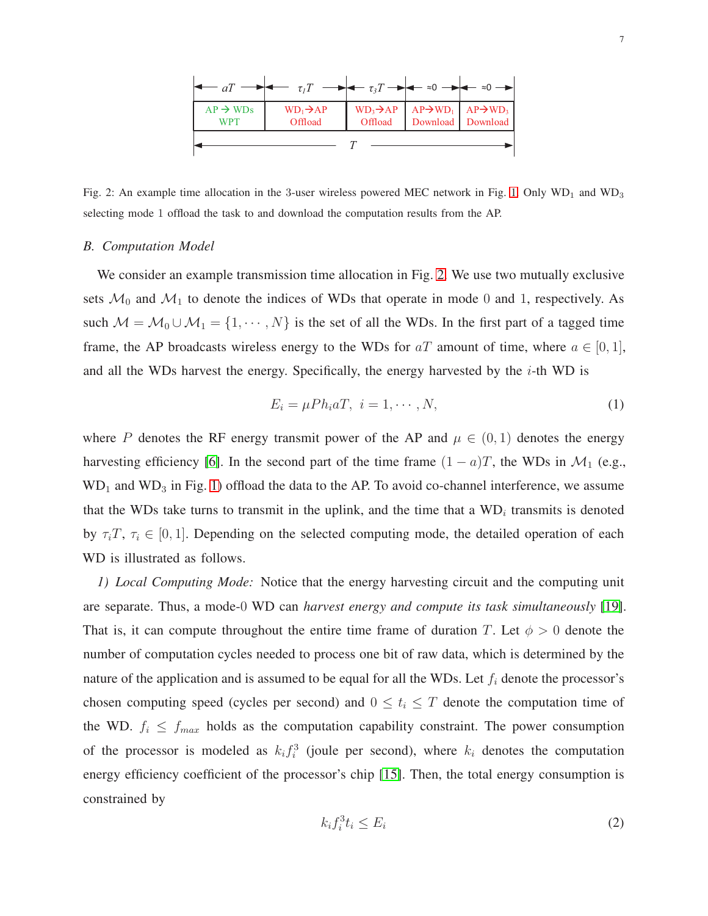<span id="page-6-0"></span>

|                                    | $\leftarrow$ $\tau_I T \longrightarrow \leftarrow \tau_I T \longrightarrow \leftarrow z_0 \longrightarrow \leftarrow z_0 \longrightarrow$ |                                                                           |  |                   |
|------------------------------------|-------------------------------------------------------------------------------------------------------------------------------------------|---------------------------------------------------------------------------|--|-------------------|
| $AP \rightarrow WDs$<br><b>WPT</b> | $WD_1\rightarrow AP$<br>Offload                                                                                                           | $WD_3\rightarrow AP$ $AP\rightarrow WD_1$ $AP\rightarrow WD_3$<br>Offload |  | Download Download |
|                                    |                                                                                                                                           |                                                                           |  |                   |

Fig. 2: An example time allocation in the 3-user wireless powered MEC network in Fig. [1.](#page-2-0) Only  $WD_1$  and  $WD_3$ selecting mode 1 offload the task to and download the computation results from the AP.

#### *B. Computation Model*

We consider an example transmission time allocation in Fig. [2.](#page-6-0) We use two mutually exclusive sets  $\mathcal{M}_0$  and  $\mathcal{M}_1$  to denote the indices of WDs that operate in mode 0 and 1, respectively. As such  $M = M_0 \cup M_1 = \{1, \dots, N\}$  is the set of all the WDs. In the first part of a tagged time frame, the AP broadcasts wireless energy to the WDs for  $aT$  amount of time, where  $a \in [0,1]$ , and all the WDs harvest the energy. Specifically, the energy harvested by the  $i$ -th WD is

$$
E_i = \mu P h_i a T, \quad i = 1, \cdots, N,\tag{1}
$$

where P denotes the RF energy transmit power of the AP and  $\mu \in (0,1)$  denotes the energy harvesting efficiency [\[6\]](#page-29-2). In the second part of the time frame  $(1 - a)T$ , the WDs in  $\mathcal{M}_1$  (e.g.,  $WD<sub>1</sub>$  and  $WD<sub>3</sub>$  in Fig. [1\)](#page-2-0) offload the data to the AP. To avoid co-channel interference, we assume that the WDs take turns to transmit in the uplink, and the time that a  $WD_i$  transmits is denoted by  $\tau_i$ ,  $\tau_i \in [0, 1]$ . Depending on the selected computing mode, the detailed operation of each WD is illustrated as follows.

*1) Local Computing Mode:* Notice that the energy harvesting circuit and the computing unit are separate. Thus, a mode-0 WD can *harvest energy and compute its task simultaneously* [\[19\]](#page-29-16). That is, it can compute throughout the entire time frame of duration T. Let  $\phi > 0$  denote the number of computation cycles needed to process one bit of raw data, which is determined by the nature of the application and is assumed to be equal for all the WDs. Let  $f_i$  denote the processor's chosen computing speed (cycles per second) and  $0 \le t_i \le T$  denote the computation time of the WD.  $f_i \le f_{max}$  holds as the computation capability constraint. The power consumption of the processor is modeled as  $k_i f_i^3$  (joule per second), where  $k_i$  denotes the computation energy efficiency coefficient of the processor's chip [\[15\]](#page-29-12). Then, the total energy consumption is constrained by

<span id="page-6-1"></span>
$$
k_i f_i^3 t_i \le E_i \tag{2}
$$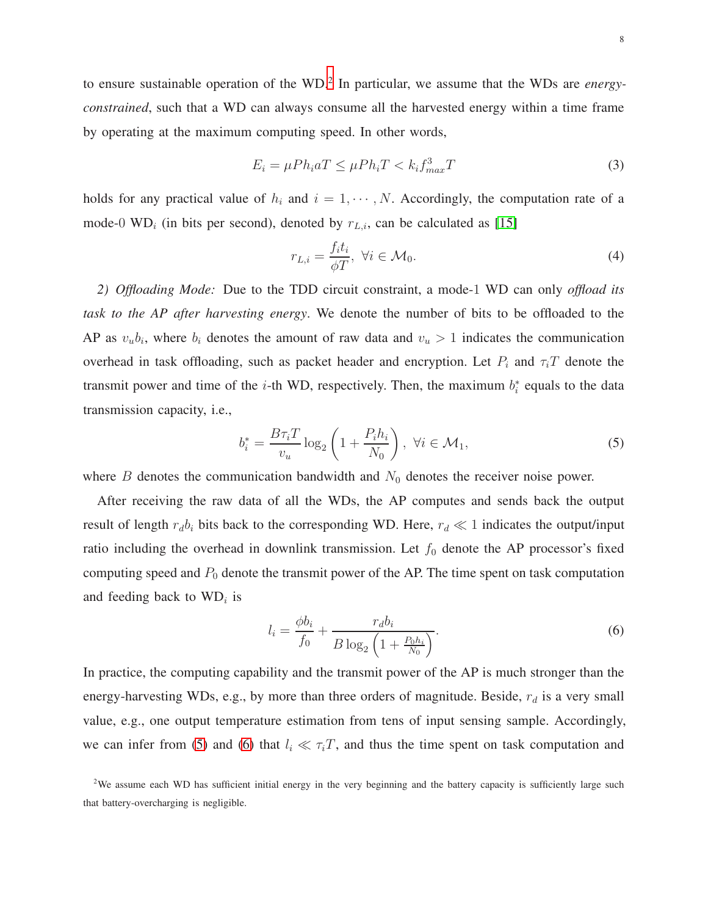to ensure sustainable operation of the WD.[2](#page-7-0) In particular, we assume that the WDs are *energyconstrained*, such that a WD can always consume all the harvested energy within a time frame by operating at the maximum computing speed. In other words,

<span id="page-7-4"></span>
$$
E_i = \mu P h_i a T \le \mu P h_i T < k_i f_{max}^3 T \tag{3}
$$

holds for any practical value of  $h_i$  and  $i = 1, \dots, N$ . Accordingly, the computation rate of a mode-0 WD<sub>i</sub> (in bits per second), denoted by  $r_{L,i}$ , can be calculated as [\[15\]](#page-29-12)

<span id="page-7-3"></span>
$$
r_{L,i} = \frac{f_i t_i}{\phi T}, \ \forall i \in \mathcal{M}_0. \tag{4}
$$

*2) Offloading Mode:* Due to the TDD circuit constraint, a mode-1 WD can only *offload its task to the AP after harvesting energy*. We denote the number of bits to be offloaded to the AP as  $v_u b_i$ , where  $b_i$  denotes the amount of raw data and  $v_u > 1$  indicates the communication overhead in task offloading, such as packet header and encryption. Let  $P_i$  and  $\tau_i T$  denote the transmit power and time of the *i*-th WD, respectively. Then, the maximum  $b_i^*$  equals to the data transmission capacity, i.e.,

<span id="page-7-1"></span>
$$
b_i^* = \frac{B\tau_i T}{v_u} \log_2 \left( 1 + \frac{P_i h_i}{N_0} \right), \ \forall i \in \mathcal{M}_1,\tag{5}
$$

where  $B$  denotes the communication bandwidth and  $N_0$  denotes the receiver noise power.

After receiving the raw data of all the WDs, the AP computes and sends back the output result of length  $r_d b_i$  bits back to the corresponding WD. Here,  $r_d \ll 1$  indicates the output/input ratio including the overhead in downlink transmission. Let  $f_0$  denote the AP processor's fixed computing speed and  $P_0$  denote the transmit power of the AP. The time spent on task computation and feeding back to  $WD_i$  is

<span id="page-7-2"></span>
$$
l_i = \frac{\phi b_i}{f_0} + \frac{r_d b_i}{B \log_2 \left(1 + \frac{P_0 h_i}{N_0}\right)}.
$$
\n(6)

In practice, the computing capability and the transmit power of the AP is much stronger than the energy-harvesting WDs, e.g., by more than three orders of magnitude. Beside,  $r_d$  is a very small value, e.g., one output temperature estimation from tens of input sensing sample. Accordingly, we can infer from [\(5\)](#page-7-1) and [\(6\)](#page-7-2) that  $l_i \ll \tau_i T$ , and thus the time spent on task computation and

<span id="page-7-0"></span><sup>&</sup>lt;sup>2</sup>We assume each WD has sufficient initial energy in the very beginning and the battery capacity is sufficiently large such that battery-overcharging is negligible.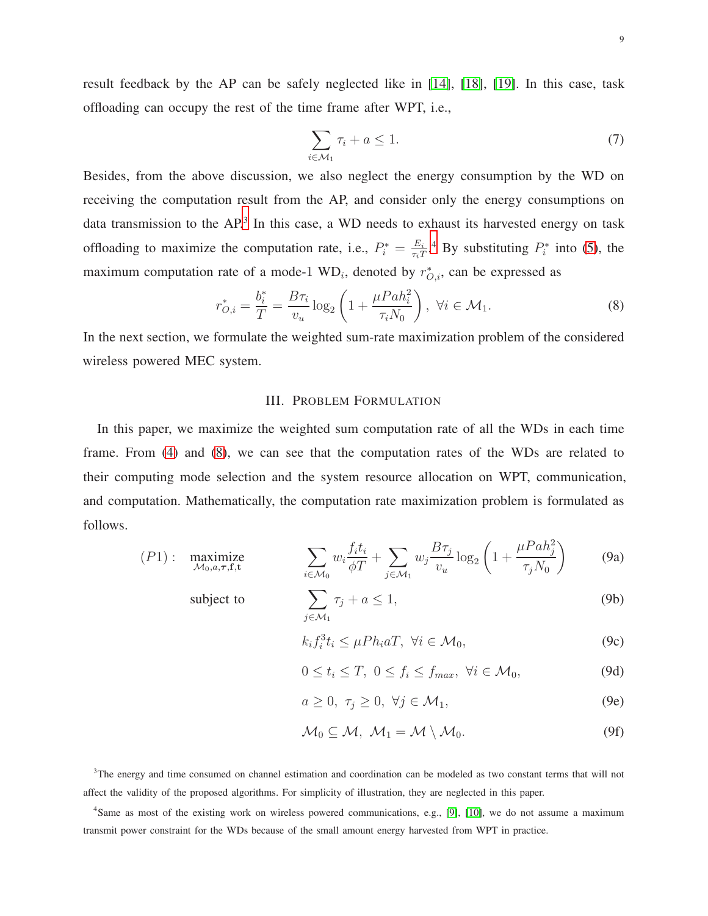result feedback by the AP can be safely neglected like in [\[14\]](#page-29-10), [\[18\]](#page-29-14), [\[19\]](#page-29-16). In this case, task offloading can occupy the rest of the time frame after WPT, i.e.,

<span id="page-8-2"></span>
$$
\sum_{i \in \mathcal{M}_1} \tau_i + a \le 1. \tag{7}
$$

Besides, from the above discussion, we also neglect the energy consumption by the WD on receiving the computation result from the AP, and consider only the energy consumptions on data transmission to the AP.<sup>[3](#page-8-0)</sup> In this case, a WD needs to exhaust its harvested energy on task offloading to maximize the computation rate, i.e.,  $P_i^* = \frac{E_i}{\tau_i T}$  $\frac{E_i}{\tau_i T}$ .<sup>[4](#page-8-1)</sup> By substituting  $P_i^*$  into [\(5\)](#page-7-1), the maximum computation rate of a mode-1  $WD_i$ , denoted by  $r^*_{O,i}$ , can be expressed as

$$
r_{O,i}^{*} = \frac{b_i^{*}}{T} = \frac{B\tau_i}{v_u} \log_2 \left( 1 + \frac{\mu P a h_i^{2}}{\tau_i N_0} \right), \ \forall i \in \mathcal{M}_1.
$$
 (8)

In the next section, we formulate the weighted sum-rate maximization problem of the considered wireless powered MEC system.

# III. PROBLEM FORMULATION

In this paper, we maximize the weighted sum computation rate of all the WDs in each time frame. From [\(4\)](#page-7-3) and [\(8\)](#page-8-2), we can see that the computation rates of the WDs are related to their computing mode selection and the system resource allocation on WPT, communication, and computation. Mathematically, the computation rate maximization problem is formulated as follows.

$$
(P1): \quad \underset{\mathcal{M}_0, a, \tau, \mathbf{f}, \mathbf{t}}{\text{maximize}} \qquad \sum_{i \in \mathcal{M}_0} w_i \frac{f_i t_i}{\phi T} + \sum_{j \in \mathcal{M}_1} w_j \frac{B \tau_j}{v_u} \log_2 \left( 1 + \frac{\mu P a h_j^2}{\tau_j N_0} \right) \tag{9a}
$$

subject to

$$
\sum_{j \in \mathcal{M}_1} \tau_j + a \le 1,\tag{9b}
$$

<span id="page-8-3"></span>
$$
k_i f_i^3 t_i \le \mu P h_i a T, \ \forall i \in \mathcal{M}_0,\tag{9c}
$$

$$
0 \le t_i \le T, \ 0 \le f_i \le f_{max}, \ \forall i \in \mathcal{M}_0,
$$
\n(9d)

$$
a \ge 0, \ \tau_j \ge 0, \ \forall j \in \mathcal{M}_1,\tag{9e}
$$

$$
\mathcal{M}_0 \subseteq \mathcal{M}, \ \mathcal{M}_1 = \mathcal{M} \setminus \mathcal{M}_0. \tag{9f}
$$

<span id="page-8-0"></span><sup>3</sup>The energy and time consumed on channel estimation and coordination can be modeled as two constant terms that will not affect the validity of the proposed algorithms. For simplicity of illustration, they are neglected in this paper.

<span id="page-8-1"></span><sup>4</sup>Same as most of the existing work on wireless powered communications, e.g., [\[9\]](#page-29-5), [\[10\]](#page-29-6), we do not assume a maximum transmit power constraint for the WDs because of the small amount energy harvested from WPT in practice.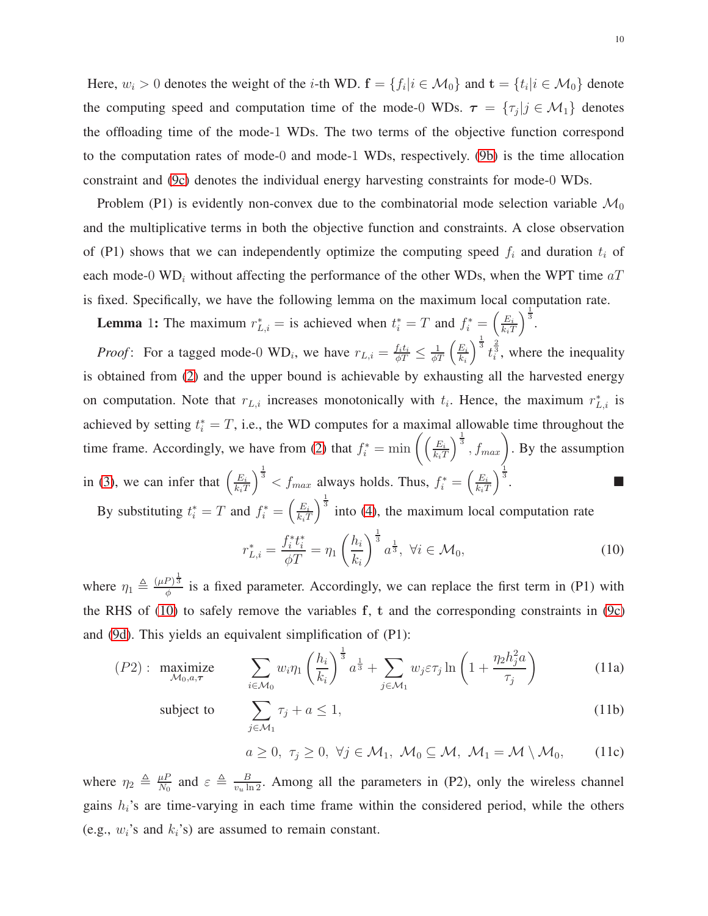Here,  $w_i > 0$  denotes the weight of the *i*-th WD.  $f = \{f_i | i \in M_0\}$  and  $t = \{t_i | i \in M_0\}$  denote the computing speed and computation time of the mode-0 WDs.  $\tau = \{\tau_j | j \in \mathcal{M}_1\}$  denotes the offloading time of the mode-1 WDs. The two terms of the objective function correspond to the computation rates of mode-0 and mode-1 WDs, respectively. [\(9b\)](#page-9-0) is the time allocation constraint and [\(9c\)](#page-9-1) denotes the individual energy harvesting constraints for mode-0 WDs.

Problem (P1) is evidently non-convex due to the combinatorial mode selection variable  $\mathcal{M}_0$ and the multiplicative terms in both the objective function and constraints. A close observation of (P1) shows that we can independently optimize the computing speed  $f_i$  and duration  $t_i$  of each mode-0 WD<sub>i</sub> without affecting the performance of the other WDs, when the WPT time  $aT$ is fixed. Specifically, we have the following lemma on the maximum local computation rate.

**Lemma** 1: The maximum  $r_{L,i}^* =$  is achieved when  $t_i^* = T$  and  $f_i^* = \left(\frac{E_i}{k_i T}\right)$  $k_iT$  $\frac{1}{3}$ .

*Proof*: For a tagged mode-0 WD<sub>i</sub>, we have  $r_{L,i} = \frac{f_i t_i}{\phi T} \leq \frac{1}{\phi T} \left( \frac{E_i}{k_i} \right)$  $k_i$  $\int_0^{\frac{1}{3}} t_i^{\frac{2}{3}}$ , where the inequality is obtained from [\(2\)](#page-6-1) and the upper bound is achievable by exhausting all the harvested energy on computation. Note that  $r_{L,i}$  increases monotonically with  $t_i$ . Hence, the maximum  $r_{L,i}^*$  is achieved by setting  $t_i^* = T$ , i.e., the WD computes for a maximal allowable time throughout the time frame. Accordingly, we have from [\(2\)](#page-6-1) that  $f_i^* = \min \left( \left( \frac{E_i}{k_i T} \right)^2 \right)$  $k_iT$  $\Big)^{\frac{1}{3}}$ ,  $f_{max}$ ). By the assumption in [\(3\)](#page-7-4), we can infer that  $\left(\frac{E_i}{k \cdot T}\right)$  $k_iT$  $\int_{0}^{\frac{1}{3}}$  <  $f_{max}$  always holds. Thus,  $f_i^* = \left(\frac{E_i}{k_i T}\right)$  $k_iT$  $\frac{1}{3}$ .  $\int_0^{\frac{1}{3}}$  into [\(4\)](#page-7-3), the maximum local computation rate

By substituting  $t_i^* = T$  and  $f_i^* = \left(\frac{E_i}{k_i T}\right)$  $k_iT$ 

<span id="page-9-2"></span>
$$
r_{L,i}^* = \frac{f_i^* t_i^*}{\phi T} = \eta_1 \left(\frac{h_i}{k_i}\right)^{\frac{1}{3}} a^{\frac{1}{3}}, \ \forall i \in \mathcal{M}_0,\tag{10}
$$

where  $\eta_1 \triangleq \frac{(\mu P)^{\frac{1}{3}}}{\phi}$  $\frac{p}{\phi}$  is a fixed parameter. Accordingly, we can replace the first term in (P1) with the RHS of  $(10)$  to safely remove the variables f, t and the corresponding constraints in  $(9c)$ and [\(9d\)](#page-8-3). This yields an equivalent simplification of (P1):

$$
(P2): \underset{\mathcal{M}_{0,a,\tau}}{\text{maximize}} \qquad \sum_{i \in \mathcal{M}_0} w_i \eta_1 \left(\frac{h_i}{k_i}\right)^{\frac{1}{3}} a^{\frac{1}{3}} + \sum_{j \in \mathcal{M}_1} w_j \varepsilon \tau_j \ln\left(1 + \frac{\eta_2 h_j^2 a}{\tau_j}\right) \tag{11a}
$$

subject to

$$
\sum_{j \in \mathcal{M}_1} \tau_j + a \le 1,\tag{11b}
$$

<span id="page-9-1"></span><span id="page-9-0"></span>
$$
a \ge 0, \tau_j \ge 0, \forall j \in M_1, \mathcal{M}_0 \subseteq \mathcal{M}, \mathcal{M}_1 = \mathcal{M} \setminus \mathcal{M}_0,
$$
 (11c)

where  $\eta_2 \triangleq \frac{\mu}{N_0}$  $\frac{\mu P}{N_0}$  and  $\varepsilon \triangleq \frac{B}{v_u \ln 2}$ . Among all the parameters in (P2), only the wireless channel gains  $h_i$ 's are time-varying in each time frame within the considered period, while the others (e.g.,  $w_i$ 's and  $k_i$ 's) are assumed to remain constant.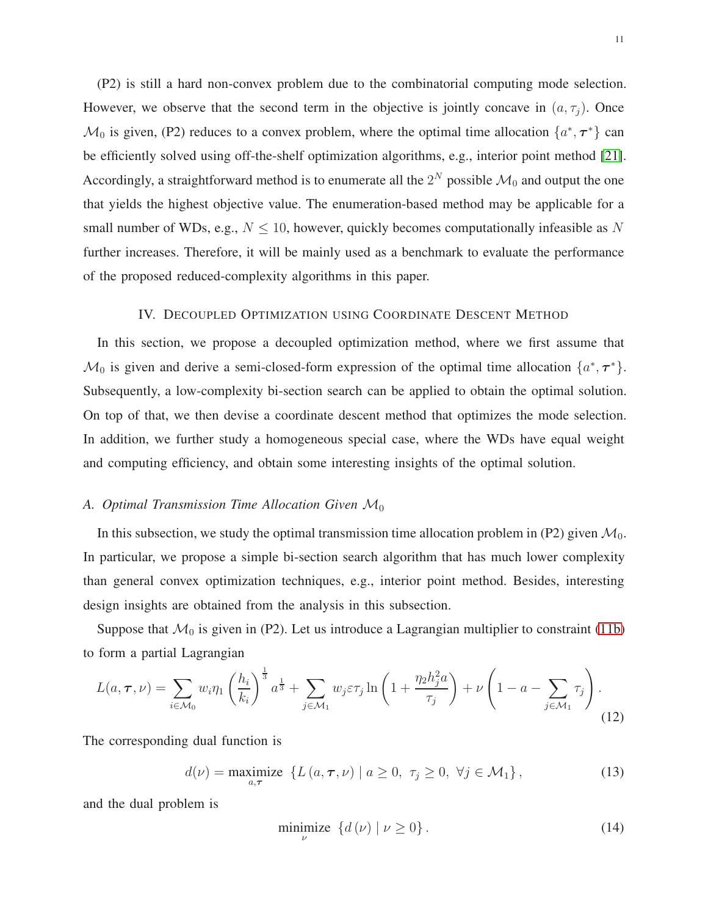(P2) is still a hard non-convex problem due to the combinatorial computing mode selection. However, we observe that the second term in the objective is jointly concave in  $(a, \tau_j)$ . Once  $\mathcal{M}_0$  is given, (P2) reduces to a convex problem, where the optimal time allocation  $\{a^*, \tau^*\}$  can be efficiently solved using off-the-shelf optimization algorithms, e.g., interior point method [\[21\]](#page-29-17). Accordingly, a straightforward method is to enumerate all the  $2^N$  possible  $\mathcal{M}_0$  and output the one that yields the highest objective value. The enumeration-based method may be applicable for a small number of WDs, e.g.,  $N \leq 10$ , however, quickly becomes computationally infeasible as N further increases. Therefore, it will be mainly used as a benchmark to evaluate the performance of the proposed reduced-complexity algorithms in this paper.

#### IV. DECOUPLED OPTIMIZATION USING COORDINATE DESCENT METHOD

In this section, we propose a decoupled optimization method, where we first assume that  $\mathcal{M}_0$  is given and derive a semi-closed-form expression of the optimal time allocation  $\{a^*, \tau^*\}$ . Subsequently, a low-complexity bi-section search can be applied to obtain the optimal solution. On top of that, we then devise a coordinate descent method that optimizes the mode selection. In addition, we further study a homogeneous special case, where the WDs have equal weight and computing efficiency, and obtain some interesting insights of the optimal solution.

# *A. Optimal Transmission Time Allocation Given* M<sup>0</sup>

In this subsection, we study the optimal transmission time allocation problem in (P2) given  $\mathcal{M}_0$ . In particular, we propose a simple bi-section search algorithm that has much lower complexity than general convex optimization techniques, e.g., interior point method. Besides, interesting design insights are obtained from the analysis in this subsection.

Suppose that  $\mathcal{M}_0$  is given in (P2). Let us introduce a Lagrangian multiplier to constraint [\(11b\)](#page-9-0) to form a partial Lagrangian

$$
L(a, \tau, \nu) = \sum_{i \in \mathcal{M}_0} w_i \eta_1 \left(\frac{h_i}{k_i}\right)^{\frac{1}{3}} a^{\frac{1}{3}} + \sum_{j \in \mathcal{M}_1} w_j \varepsilon \tau_j \ln\left(1 + \frac{\eta_2 h_j^2 a}{\tau_j}\right) + \nu \left(1 - a - \sum_{j \in \mathcal{M}_1} \tau_j\right).
$$
\n(12)

The corresponding dual function is

<span id="page-10-0"></span>
$$
d(\nu) = \underset{a,\tau}{\text{maximize}} \left\{ L\left(a,\tau,\nu\right) \mid a \ge 0, \ \tau_j \ge 0, \ \forall j \in \mathcal{M}_1 \right\},\tag{13}
$$

and the dual problem is

$$
\underset{\nu}{\text{minimize}} \quad \{d\left(\nu\right) \mid \nu \ge 0\} \,. \tag{14}
$$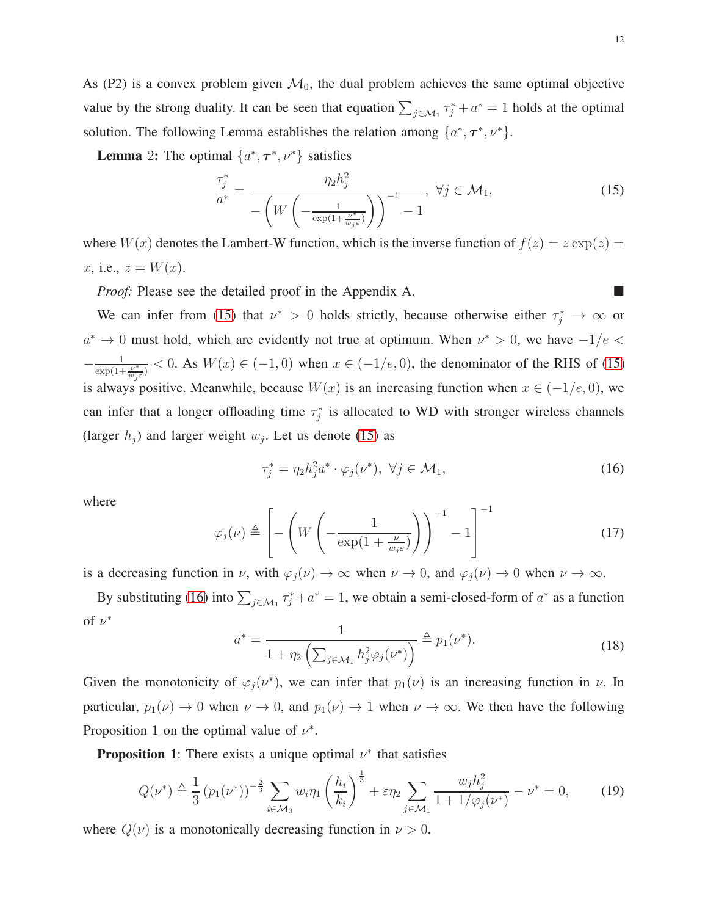As (P2) is a convex problem given  $\mathcal{M}_0$ , the dual problem achieves the same optimal objective value by the strong duality. It can be seen that equation  $\sum_{j \in \mathcal{M}_1} \tau_j^* + a^* = 1$  holds at the optimal solution. The following Lemma establishes the relation among  $\{a^*, \tau^*, \nu^*\}.$ 

**Lemma** 2: The optimal  $\{a^*, \tau^*, \nu^*\}$  satisfies

<span id="page-11-0"></span>
$$
\frac{\tau_j^*}{a^*} = \frac{\eta_2 h_j^2}{-\left(W\left(-\frac{1}{\exp(1+\frac{\nu^*}{w_j \varepsilon})}\right)\right)^{-1} - 1}, \ \forall j \in \mathcal{M}_1,\tag{15}
$$

where  $W(x)$  denotes the Lambert-W function, which is the inverse function of  $f(z) = z \exp(z) = z$ x, i.e.,  $z = W(x)$ .

*Proof:* Please see the detailed proof in the Appendix A.

We can infer from [\(15\)](#page-11-0) that  $\nu^* > 0$  holds strictly, because otherwise either  $\tau_j^* \to \infty$  or  $a^* \to 0$  must hold, which are evidently not true at optimum. When  $\nu^* > 0$ , we have  $-1/e <$  $-\frac{1}{\exp(1+\frac{\nu^*}{w_j\varepsilon})}$  < 0. As  $W(x) \in (-1,0)$  when  $x \in (-1/e,0)$ , the denominator of the RHS of [\(15\)](#page-11-0) is always positive. Meanwhile, because  $W(x)$  is an increasing function when  $x \in (-1/e, 0)$ , we can infer that a longer offloading time  $\tau_j^*$  is allocated to WD with stronger wireless channels (larger  $h_j$ ) and larger weight  $w_j$ . Let us denote [\(15\)](#page-11-0) as

<span id="page-11-1"></span>
$$
\tau_j^* = \eta_2 h_j^2 a^* \cdot \varphi_j(\nu^*), \ \forall j \in \mathcal{M}_1,\tag{16}
$$

<span id="page-11-4"></span>where

$$
\varphi_j(\nu) \triangleq \left[ -\left( W\left( -\frac{1}{\exp(1+\frac{\nu}{w_j \varepsilon})} \right) \right)^{-1} - 1 \right]^{-1} \tag{17}
$$

is a decreasing function in  $\nu$ , with  $\varphi_j(\nu) \to \infty$  when  $\nu \to 0$ , and  $\varphi_j(\nu) \to 0$  when  $\nu \to \infty$ .

<span id="page-11-2"></span>By substituting [\(16\)](#page-11-1) into  $\sum_{j \in \mathcal{M}_1} \tau_j^* + a^* = 1$ , we obtain a semi-closed-form of  $a^*$  as a function of  $\nu^*$ 

<span id="page-11-3"></span>
$$
a^* = \frac{1}{1 + \eta_2 \left( \sum_{j \in \mathcal{M}_1} h_j^2 \varphi_j(\nu^*) \right)} \stackrel{\Delta}{=} p_1(\nu^*).
$$
 (18)

Given the monotonicity of  $\varphi_j(\nu^*)$ , we can infer that  $p_1(\nu)$  is an increasing function in  $\nu$ . In particular,  $p_1(\nu) \to 0$  when  $\nu \to 0$ , and  $p_1(\nu) \to 1$  when  $\nu \to \infty$ . We then have the following Proposition 1 on the optimal value of  $\nu^*$ .

**Proposition 1**: There exists a unique optimal  $\nu^*$  that satisfies

$$
Q(\nu^*) \triangleq \frac{1}{3} (p_1(\nu^*))^{-\frac{2}{3}} \sum_{i \in \mathcal{M}_0} w_i \eta_1 \left(\frac{h_i}{k_i}\right)^{\frac{1}{3}} + \varepsilon \eta_2 \sum_{j \in \mathcal{M}_1} \frac{w_j h_j^2}{1 + 1/\varphi_j(\nu^*)} - \nu^* = 0, \qquad (19)
$$

where  $Q(\nu)$  is a monotonically decreasing function in  $\nu > 0$ .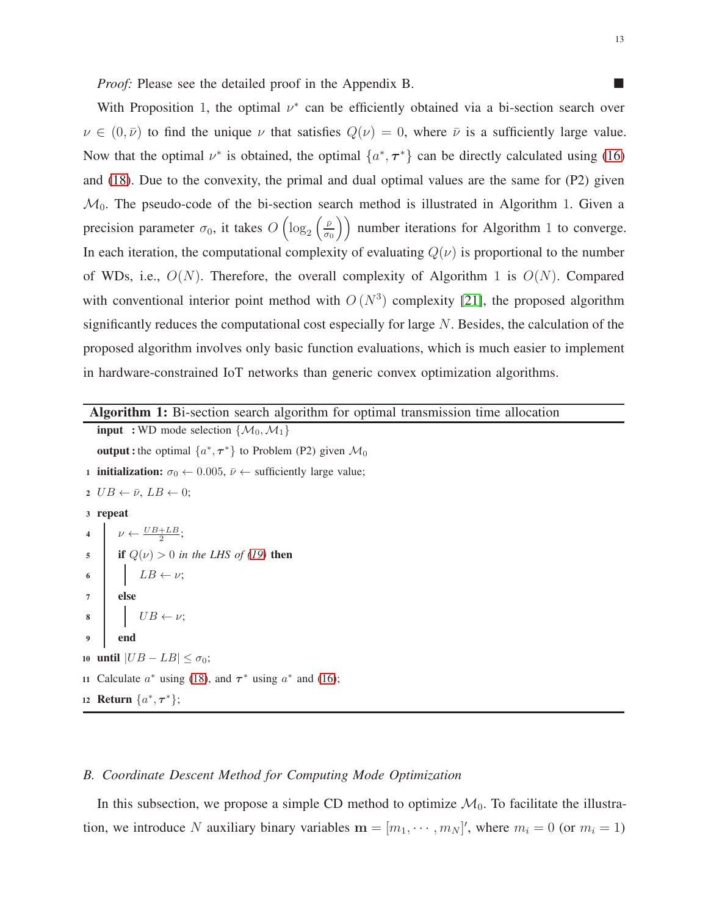*Proof:* Please see the detailed proof in the Appendix B.

With Proposition 1, the optimal  $\nu^*$  can be efficiently obtained via a bi-section search over  $\nu \in (0, \bar{\nu})$  to find the unique  $\nu$  that satisfies  $Q(\nu) = 0$ , where  $\bar{\nu}$  is a sufficiently large value. Now that the optimal  $\nu^*$  is obtained, the optimal  $\{a^*, \tau^*\}$  can be directly calculated using [\(16\)](#page-11-1) and [\(18\)](#page-11-2). Due to the convexity, the primal and dual optimal values are the same for (P2) given  $\mathcal{M}_0$ . The pseudo-code of the bi-section search method is illustrated in Algorithm 1. Given a precision parameter  $\sigma_0$ , it takes  $O\left(\log_2\left(\frac{\bar{\nu}}{\sigma_0}\right)\right)$  $\left(\frac{\bar{\nu}}{\sigma_0}\right)$  number iterations for Algorithm 1 to converge. In each iteration, the computational complexity of evaluating  $Q(\nu)$  is proportional to the number of WDs, i.e.,  $O(N)$ . Therefore, the overall complexity of Algorithm 1 is  $O(N)$ . Compared with conventional interior point method with  $O(N^3)$  complexity [\[21\]](#page-29-17), the proposed algorithm significantly reduces the computational cost especially for large N. Besides, the calculation of the proposed algorithm involves only basic function evaluations, which is much easier to implement in hardware-constrained IoT networks than generic convex optimization algorithms.

Algorithm 1: Bi-section search algorithm for optimal transmission time allocation

**input** : WD mode selection  $\{M_0, M_1\}$ **output**: the optimal  $\{a^*, \tau^*\}$  to Problem (P2) given  $\mathcal{M}_0$ 1 **initialization:**  $\sigma_0 \leftarrow 0.005$ ,  $\bar{\nu} \leftarrow$  sufficiently large value; 2  $UB \leftarrow \bar{\nu}, LB \leftarrow 0;$ <sup>3</sup> repeat 4  $\nu \leftarrow \frac{UB + LB}{2};$ 5 if  $Q(\nu) > 0$  *in the LHS of [\(19\)](#page-11-3)* then 6  $\Big|$   $LB \leftarrow \nu;$ <sup>7</sup> else  $8 \mid \mid UB \leftarrow \nu;$ end 10 until  $|UB - LB| \leq \sigma_0$ ; 11 Calculate  $a^*$  using [\(18\)](#page-11-2), and  $\tau^*$  using  $a^*$  and [\(16\)](#page-11-1); 12 **Return**  $\{a^*, \tau^*\};$ 

# *B. Coordinate Descent Method for Computing Mode Optimization*

In this subsection, we propose a simple CD method to optimize  $\mathcal{M}_0$ . To facilitate the illustration, we introduce N auxiliary binary variables  $\mathbf{m} = [m_1, \dots, m_N]$ , where  $m_i = 0$  (or  $m_i = 1$ )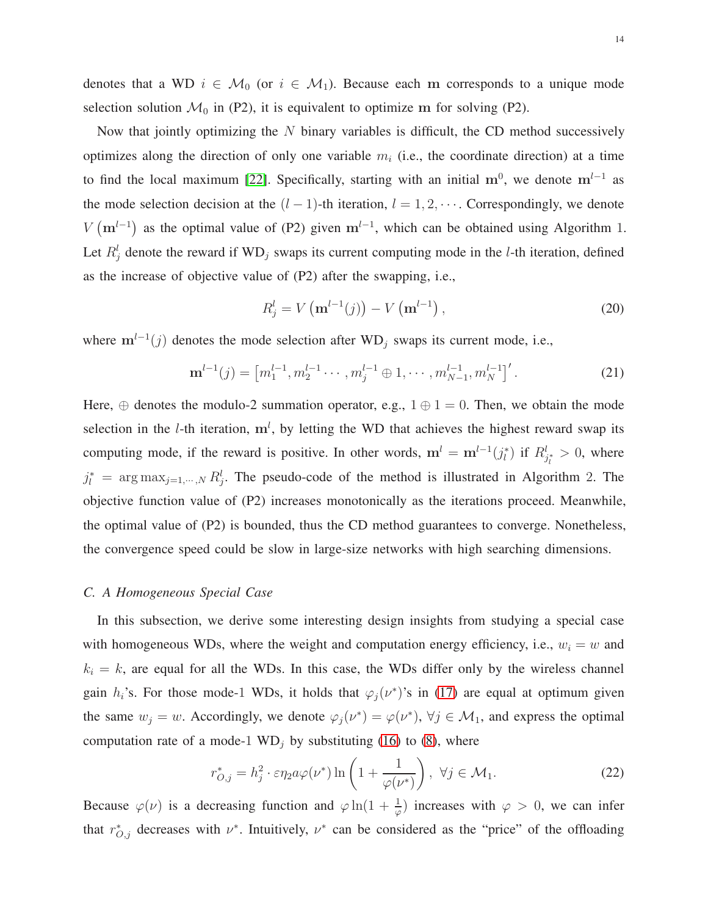denotes that a WD  $i \in \mathcal{M}_0$  (or  $i \in \mathcal{M}_1$ ). Because each m corresponds to a unique mode selection solution  $\mathcal{M}_0$  in (P2), it is equivalent to optimize m for solving (P2).

Now that jointly optimizing the  $N$  binary variables is difficult, the CD method successively optimizes along the direction of only one variable  $m_i$  (i.e., the coordinate direction) at a time to find the local maximum [\[22\]](#page-29-18). Specifically, starting with an initial  $m^0$ , we denote  $m^{l-1}$  as the mode selection decision at the  $(l-1)$ -th iteration,  $l = 1, 2, \cdots$ . Correspondingly, we denote  $V(m^{l-1})$  as the optimal value of (P2) given  $m^{l-1}$ , which can be obtained using Algorithm 1. Let  $R_j^l$  denote the reward if WD<sub>j</sub> swaps its current computing mode in the *l*-th iteration, defined as the increase of objective value of (P2) after the swapping, i.e.,

<span id="page-13-1"></span><span id="page-13-0"></span>
$$
R_j^l = V(\mathbf{m}^{l-1}(j)) - V(\mathbf{m}^{l-1}),
$$
\n(20)

where  $m^{l-1}(j)$  denotes the mode selection after WD<sub>j</sub> swaps its current mode, i.e.,

$$
\mathbf{m}^{l-1}(j) = \left[m_1^{l-1}, m_2^{l-1} \cdots, m_j^{l-1} \oplus 1, \cdots, m_{N-1}^{l-1}, m_N^{l-1}\right]'.\tag{21}
$$

Here,  $\oplus$  denotes the modulo-2 summation operator, e.g.,  $1 \oplus 1 = 0$ . Then, we obtain the mode selection in the *l*-th iteration,  $m^l$ , by letting the WD that achieves the highest reward swap its computing mode, if the reward is positive. In other words,  $\mathbf{m}^l = \mathbf{m}^{l-1}(j_l^*)$  if  $R_{j_l^*}^l > 0$ , where  $j_l^*$  = arg max<sub>j=1,…,N</sub>  $R_j^l$ . The pseudo-code of the method is illustrated in Algorithm 2. The objective function value of (P2) increases monotonically as the iterations proceed. Meanwhile, the optimal value of (P2) is bounded, thus the CD method guarantees to converge. Nonetheless, the convergence speed could be slow in large-size networks with high searching dimensions.

#### *C. A Homogeneous Special Case*

In this subsection, we derive some interesting design insights from studying a special case with homogeneous WDs, where the weight and computation energy efficiency, i.e.,  $w_i = w$  and  $k_i = k$ , are equal for all the WDs. In this case, the WDs differ only by the wireless channel gain  $h_i$ 's. For those mode-1 WDs, it holds that  $\varphi_j(\nu^*)$ 's in [\(17\)](#page-11-4) are equal at optimum given the same  $w_j = w$ . Accordingly, we denote  $\varphi_j(\nu^*) = \varphi(\nu^*)$ ,  $\forall j \in \mathcal{M}_1$ , and express the optimal computation rate of a mode-1  $WD_i$  by substituting [\(16\)](#page-11-1) to [\(8\)](#page-8-2), where

<span id="page-13-2"></span>
$$
r_{O,j}^* = h_j^2 \cdot \varepsilon \eta_2 a \varphi(\nu^*) \ln \left( 1 + \frac{1}{\varphi(\nu^*)} \right), \ \forall j \in \mathcal{M}_1. \tag{22}
$$

Because  $\varphi(\nu)$  is a decreasing function and  $\varphi \ln(1 + \frac{1}{\varphi})$  increases with  $\varphi > 0$ , we can infer that  $r_{O,j}^*$  decreases with  $\nu^*$ . Intuitively,  $\nu^*$  can be considered as the "price" of the offloading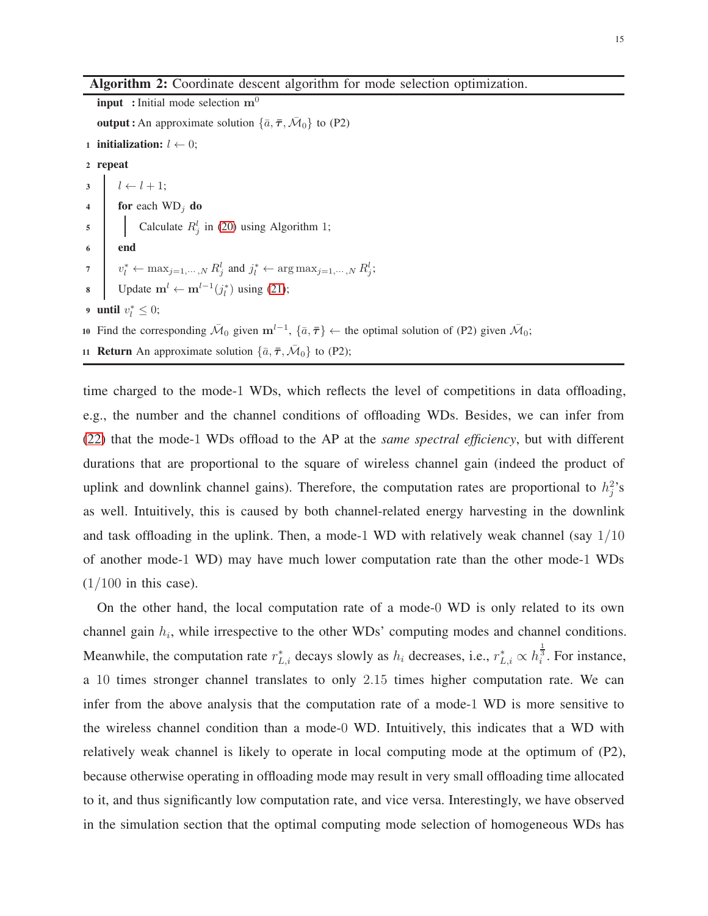#### Algorithm 2: Coordinate descent algorithm for mode selection optimization.

**input** : Initial mode selection  $m^0$ **output**: An approximate solution  $\{\bar{a}, \bar{\tau}, \bar{\mathcal{M}}_0\}$  to (P2) 1 initialization:  $l \leftarrow 0$ ; <sup>2</sup> repeat  $3 \quad l \leftarrow l + 1;$ 4 for each  $WD_i$  do 5 Calculate  $R_j^l$  in [\(20\)](#page-13-0) using Algorithm 1;  $6 \quad | \quad \text{end}$  $v_l^* \leftarrow \max_{j=1,\cdots,N} R_j^l$  and  $j_l^* \leftarrow \arg \max_{j=1,\cdots,N} R_j^l$ ; 8 Update m<sup>l</sup> ← m<sup>l-1</sup>( $j_l^*$ ) using [\(21\)](#page-13-1); 9 until  $v_l^* \leq 0$ ; 10 Find the corresponding  $\bar{M}_0$  given  $m^{l-1}$ ,  $\{\bar{a}, \bar{\tau}\}\leftarrow$  the optimal solution of (P2) given  $\bar{M}_0$ ; 11 **Return** An approximate solution  $\{\bar{a}, \bar{\tau}, \bar{\mathcal{M}}_0\}$  to (P2);

time charged to the mode-1 WDs, which reflects the level of competitions in data offloading, e.g., the number and the channel conditions of offloading WDs. Besides, we can infer from [\(22\)](#page-13-2) that the mode-1 WDs offload to the AP at the *same spectral efficiency*, but with different durations that are proportional to the square of wireless channel gain (indeed the product of uplink and downlink channel gains). Therefore, the computation rates are proportional to  $h_j^2$ 's as well. Intuitively, this is caused by both channel-related energy harvesting in the downlink and task offloading in the uplink. Then, a mode-1 WD with relatively weak channel (say  $1/10$ ) of another mode-1 WD) may have much lower computation rate than the other mode-1 WDs  $(1/100$  in this case).

On the other hand, the local computation rate of a mode-0 WD is only related to its own channel gain  $h_i$ , while irrespective to the other WDs' computing modes and channel conditions. Meanwhile, the computation rate  $r_{L,i}^*$  decays slowly as  $h_i$  decreases, i.e.,  $r_{L,i}^* \propto h_i^{\frac{1}{3}}$ . For instance, a 10 times stronger channel translates to only 2.15 times higher computation rate. We can infer from the above analysis that the computation rate of a mode-1 WD is more sensitive to the wireless channel condition than a mode-0 WD. Intuitively, this indicates that a WD with relatively weak channel is likely to operate in local computing mode at the optimum of (P2), because otherwise operating in offloading mode may result in very small offloading time allocated to it, and thus significantly low computation rate, and vice versa. Interestingly, we have observed in the simulation section that the optimal computing mode selection of homogeneous WDs has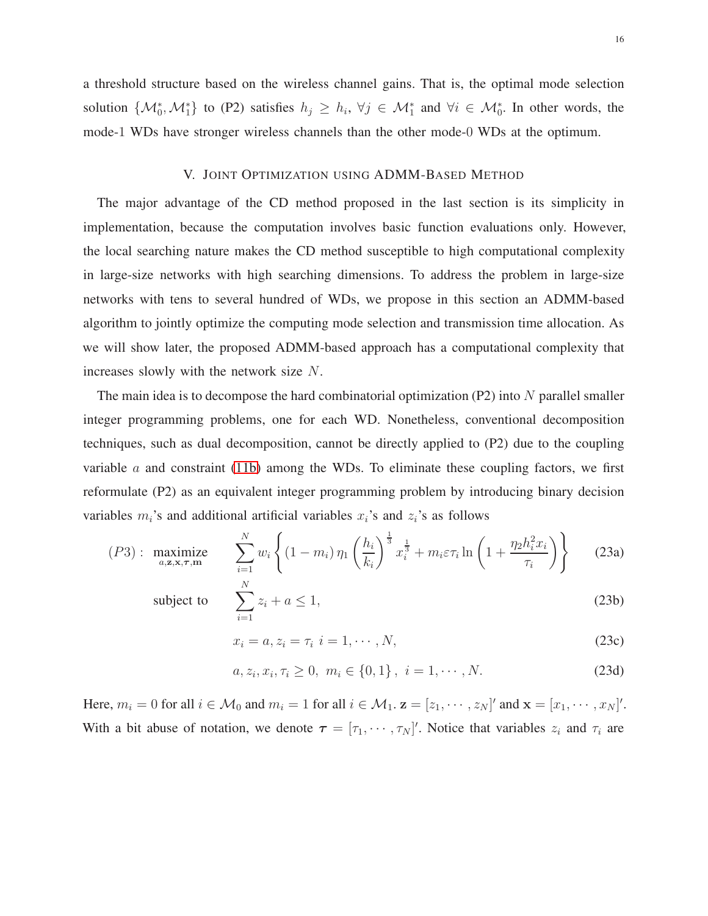a threshold structure based on the wireless channel gains. That is, the optimal mode selection solution  $\{\mathcal{M}_0^*, \mathcal{M}_1^*\}$  to (P2) satisfies  $h_j \geq h_i$ ,  $\forall j \in \mathcal{M}_1^*$  and  $\forall i \in \mathcal{M}_0^*$ . In other words, the mode-1 WDs have stronger wireless channels than the other mode-0 WDs at the optimum.

# V. JOINT OPTIMIZATION USING ADMM-BASED METHOD

The major advantage of the CD method proposed in the last section is its simplicity in implementation, because the computation involves basic function evaluations only. However, the local searching nature makes the CD method susceptible to high computational complexity in large-size networks with high searching dimensions. To address the problem in large-size networks with tens to several hundred of WDs, we propose in this section an ADMM-based algorithm to jointly optimize the computing mode selection and transmission time allocation. As we will show later, the proposed ADMM-based approach has a computational complexity that increases slowly with the network size N.

The main idea is to decompose the hard combinatorial optimization  $(P2)$  into N parallel smaller integer programming problems, one for each WD. Nonetheless, conventional decomposition techniques, such as dual decomposition, cannot be directly applied to (P2) due to the coupling variable  $\alpha$  and constraint [\(11b\)](#page-9-0) among the WDs. To eliminate these coupling factors, we first reformulate (P2) as an equivalent integer programming problem by introducing binary decision variables  $m_i$ 's and additional artificial variables  $x_i$ 's and  $z_i$ 's as follows

$$
(P3): \underset{a,z,x,\tau,m}{\text{maximize}} \sum_{i=1}^{N} w_i \left\{ (1-m_i) \, \eta_1 \left( \frac{h_i}{k_i} \right)^{\frac{1}{3}} x_i^{\frac{1}{3}} + m_i \varepsilon \tau_i \ln \left( 1 + \frac{\eta_2 h_i^2 x_i}{\tau_i} \right) \right\} \tag{23a}
$$

subject to 
$$
\sum_{i=1}^{N} z_i + a \le 1,
$$
 (23b)

$$
x_i = a, z_i = \tau_i \quad i = 1, \cdots, N,\tag{23c}
$$

$$
a, z_i, x_i, \tau_i \ge 0, \ m_i \in \{0, 1\}, \ i = 1, \cdots, N. \tag{23d}
$$

Here,  $m_i = 0$  for all  $i \in \mathcal{M}_0$  and  $m_i = 1$  for all  $i \in \mathcal{M}_1$ .  $\mathbf{z} = [z_1, \dots, z_N]'$  and  $\mathbf{x} = [x_1, \dots, x_N]'$ . With a bit abuse of notation, we denote  $\tau = [\tau_1, \cdots, \tau_N]'$ . Notice that variables  $z_i$  and  $\tau_i$  are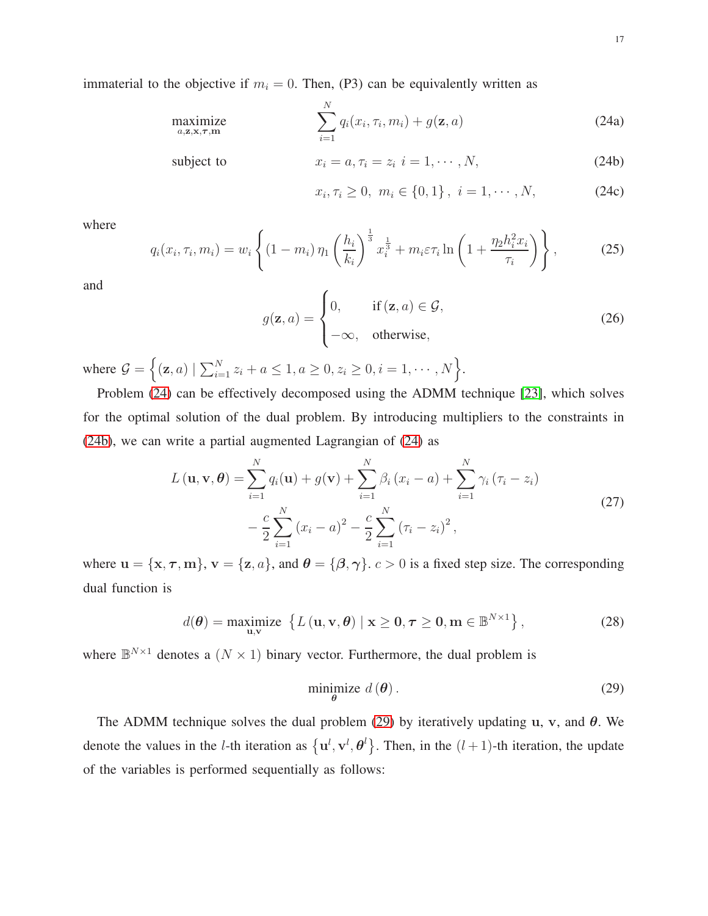immaterial to the objective if  $m_i = 0$ . Then, (P3) can be equivalently written as

$$
\underset{a,\mathbf{z},\mathbf{x},\boldsymbol{\tau},\mathbf{m}}{\text{maximize}} \qquad \qquad \sum_{i=1}^{N} q_i(x_i,\tau_i,m_i) + g(\mathbf{z},a) \tag{24a}
$$

subject to  $x_i = a, \tau_i = z_i \ i = 1, \cdots, N,$  (24b)

<span id="page-16-0"></span>
$$
x_i, \tau_i \ge 0, \ m_i \in \{0, 1\}, \ i = 1, \cdots, N,
$$
 (24c)

where

$$
q_i(x_i, \tau_i, m_i) = w_i \left\{ (1 - m_i) \, \eta_1 \left( \frac{h_i}{k_i} \right)^{\frac{1}{3}} x_i^{\frac{1}{3}} + m_i \varepsilon \tau_i \ln \left( 1 + \frac{\eta_2 h_i^2 x_i}{\tau_i} \right) \right\},\tag{25}
$$

<span id="page-16-2"></span>and

$$
g(\mathbf{z}, a) = \begin{cases} 0, & \text{if } (\mathbf{z}, a) \in \mathcal{G}, \\ -\infty, & \text{otherwise}, \end{cases}
$$
 (26)

where  $G = \{(z, a) | \sum_{i=1}^{N} z_i + a \leq 1, a \geq 0, z_i \geq 0, i = 1, \dots, N\}$ .

Problem [\(24\)](#page-16-0) can be effectively decomposed using the ADMM technique [\[23\]](#page-29-19), which solves for the optimal solution of the dual problem. By introducing multipliers to the constraints in [\(24b\)](#page-17-0), we can write a partial augmented Lagrangian of [\(24\)](#page-16-0) as

$$
L(\mathbf{u}, \mathbf{v}, \boldsymbol{\theta}) = \sum_{i=1}^{N} q_i(\mathbf{u}) + g(\mathbf{v}) + \sum_{i=1}^{N} \beta_i (x_i - a) + \sum_{i=1}^{N} \gamma_i (\tau_i - z_i)
$$
  
- 
$$
\frac{c}{2} \sum_{i=1}^{N} (x_i - a)^2 - \frac{c}{2} \sum_{i=1}^{N} (\tau_i - z_i)^2,
$$
 (27)

where  $\mathbf{u} = {\mathbf{x}, \tau, \mathbf{m}}, \mathbf{v} = {\mathbf{z}, a}, \text{ and } \boldsymbol{\theta} = {\mathbf{\theta}, \gamma}. c > 0$  is a fixed step size. The corresponding dual function is

$$
d(\boldsymbol{\theta}) = \underset{\mathbf{u}, \mathbf{v}}{\text{maximize}} \left\{ L(\mathbf{u}, \mathbf{v}, \boldsymbol{\theta}) \mid \mathbf{x} \ge \mathbf{0}, \boldsymbol{\tau} \ge \mathbf{0}, \mathbf{m} \in \mathbb{B}^{N \times 1} \right\},\tag{28}
$$

where  $\mathbb{B}^{N\times 1}$  denotes a  $(N \times 1)$  binary vector. Furthermore, the dual problem is

<span id="page-16-1"></span>
$$
\underset{\theta}{\text{minimize}}\ d\left(\theta\right). \tag{29}
$$

The ADMM technique solves the dual problem [\(29\)](#page-16-1) by iteratively updating u, v, and  $\theta$ . We denote the values in the *l*-th iteration as  $\{u^l, v^l, \theta^l\}$ . Then, in the  $(l+1)$ -th iteration, the update of the variables is performed sequentially as follows: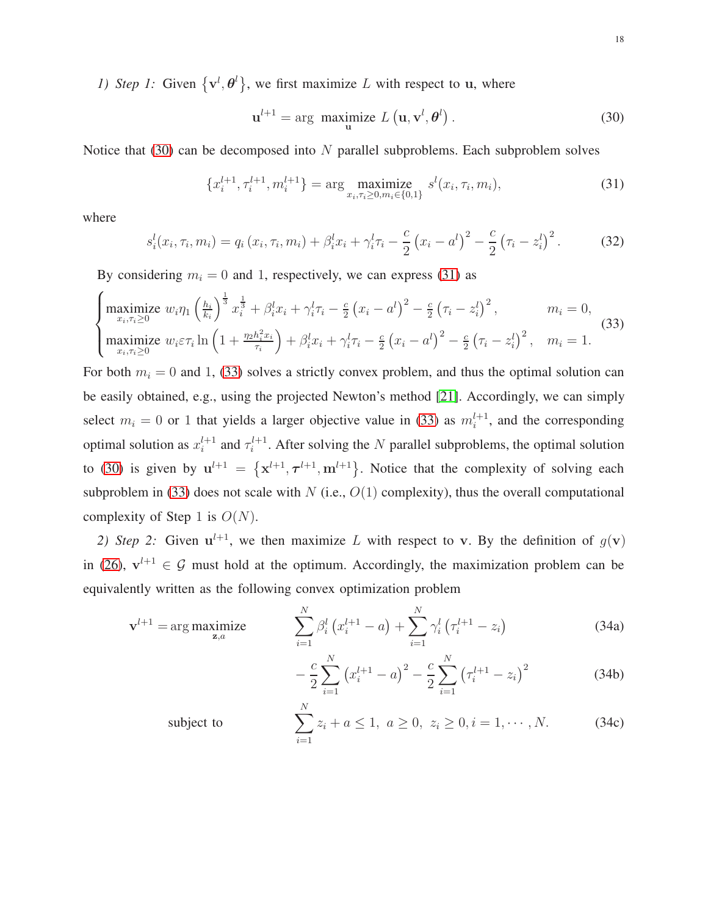*1)* Step 1: Given  $\{v^l, \theta^l\}$ , we first maximize L with respect to u, where

<span id="page-17-3"></span><span id="page-17-2"></span><span id="page-17-1"></span>
$$
\mathbf{u}^{l+1} = \arg \ \mathop{\text{maximize}}_{\mathbf{u}} L\left(\mathbf{u}, \mathbf{v}^{l}, \boldsymbol{\theta}^{l}\right). \tag{30}
$$

Notice that  $(30)$  can be decomposed into N parallel subproblems. Each subproblem solves

$$
\{x_i^{l+1}, \tau_i^{l+1}, m_i^{l+1}\} = \arg \max_{x_i, \tau_i \ge 0, m_i \in \{0, 1\}} s^l(x_i, \tau_i, m_i), \tag{31}
$$

where

$$
s_i^l(x_i, \tau_i, m_i) = q_i(x_i, \tau_i, m_i) + \beta_i^l x_i + \gamma_i^l \tau_i - \frac{c}{2} (x_i - a^l)^2 - \frac{c}{2} (\tau_i - z_i^l)^2.
$$
 (32)

By considering  $m_i = 0$  and 1, respectively, we can express [\(31\)](#page-17-2) as

$$
\begin{cases}\n\text{maximize } w_i \eta_1 \left(\frac{h_i}{k_i}\right)^{\frac{1}{3}} x_i^{\frac{1}{3}} + \beta_i^l x_i + \gamma_i^l \tau_i - \frac{c}{2} \left(x_i - a^l\right)^2 - \frac{c}{2} \left(\tau_i - z_i^l\right)^2, & m_i = 0, \\
\text{maximize } w_i \varepsilon \tau_i \ln \left(1 + \frac{\eta_2 h_i^2 x_i}{\tau_i}\right) + \beta_i^l x_i + \gamma_i^l \tau_i - \frac{c}{2} \left(x_i - a^l\right)^2 - \frac{c}{2} \left(\tau_i - z_i^l\right)^2, & m_i = 1.\n\end{cases} (33)
$$

For both  $m_i = 0$  and 1, [\(33\)](#page-17-3) solves a strictly convex problem, and thus the optimal solution can be easily obtained, e.g., using the projected Newton's method [\[21\]](#page-29-17). Accordingly, we can simply select  $m_i = 0$  or 1 that yields a larger objective value in [\(33\)](#page-17-3) as  $m_i^{l+1}$ , and the corresponding optimal solution as  $x_i^{l+1}$  and  $\tau_i^{l+1}$ . After solving the N parallel subproblems, the optimal solution to [\(30\)](#page-17-1) is given by  $u^{l+1} = \{x^{l+1}, \tau^{l+1}, m^{l+1}\}\$ . Notice that the complexity of solving each subproblem in [\(33\)](#page-17-3) does not scale with  $N$  (i.e.,  $O(1)$  complexity), thus the overall computational complexity of Step 1 is  $O(N)$ .

2) Step 2: Given  $u^{l+1}$ , we then maximize L with respect to v. By the definition of  $g(v)$ in [\(26\)](#page-16-2),  $v^{l+1} \in G$  must hold at the optimum. Accordingly, the maximization problem can be equivalently written as the following convex optimization problem

$$
\mathbf{v}^{l+1} = \arg \underset{\mathbf{z},a}{\arg \underset{\mathbf{z},a}{\arg \underset{\mathbf{z},a}{\arg \underset{\mathbf{z},a}{\arg \underset{\mathbf{z},a}{\arg \underset{\mathbf{z}\geq 1}{\arg \underset{\mathbf{z}\geq 1}{\arg \underset{\mathbf{z}\geq 1}{\arg \underset{\mathbf{z}\geq 1}{\arg \underset{\mathbf{z}\geq 1}{\arg \underset{\mathbf{z}\geq 1}{\arg \underset{\mathbf{z}\geq 1}{\arg \underset{\mathbf{z}\geq 1}{\arg \underset{\mathbf{z}\geq 1}{\arg \underset{\mathbf{z}\geq 1}{\arg \underset{\mathbf{z}\geq 1}{\arg \underset{\mathbf{z}\geq 1}{\arg \underset{\mathbf{z}\geq 1}{\arg \underset{\mathbf{z}\geq 1}{\arg \underset{\mathbf{z}\geq 1}{\arg \underset{\mathbf{z}\geq 1}{\arg \underset{\mathbf{z}\geq 1}{\arg \underset{\mathbf{z}\geq 1}{\arg \underset{\mathbf{z}\geq 1}{\arg \underset{\mathbf{z}\geq 1}{\arg \underset{\mathbf{z}\geq 1}{\arg \underset{\mathbf{z}\geq 1}{\arg \underset{\mathbf{z}\geq 1}{\arg \underset{\mathbf{z}\geq 1}{\arg \underset{\mathbf{z}\geq 1}{\arg \underset{\mathbf{z}\geq 1}{\arg \underset{\mathbf{z}\geq 1}{\arg \underset{\mathbf{z}\geq 1}{\arg \underset{\mathbf{z}\geq 1}{\arg \underset{\mathbf{z}\geq 1}{\arg \underset{\mathbf{z}\geq 1}{\arg \underset{\mathbf{z}\geq 1}{\arg \underset{\mathbf{z}\geq 1}{\arg \underset{\mathbf{z}\geq 1}{\arg \underset{\mathbf{z}\geq 1}{\arg \underset{\mathbf{z}\geq 1}{\arg \underset{\mathbf{z}\geq 1}{\arg \underset{\mathbf{z}\geq 1}{\arg \underset{\mathbf{z}\geq 1}{\arg \underset{\mathbf{z}\geq 1}{\arg \underset{\mathbf{z}\geq 1}{\arg \underset{\mathbf{z}\geq 1}{\arg \underset{\mathbf{z}\
$$

<span id="page-17-4"></span><span id="page-17-0"></span>
$$
-\frac{c}{2}\sum_{i=1}^{N} (x_i^{l+1} - a)^2 - \frac{c}{2}\sum_{i=1}^{N} (\tau_i^{l+1} - z_i)^2
$$
 (34b)

subject to 
$$
\sum_{i=1}^{N} z_i + a \le 1, \ a \ge 0, \ z_i \ge 0, i = 1, \cdots, N. \tag{34c}
$$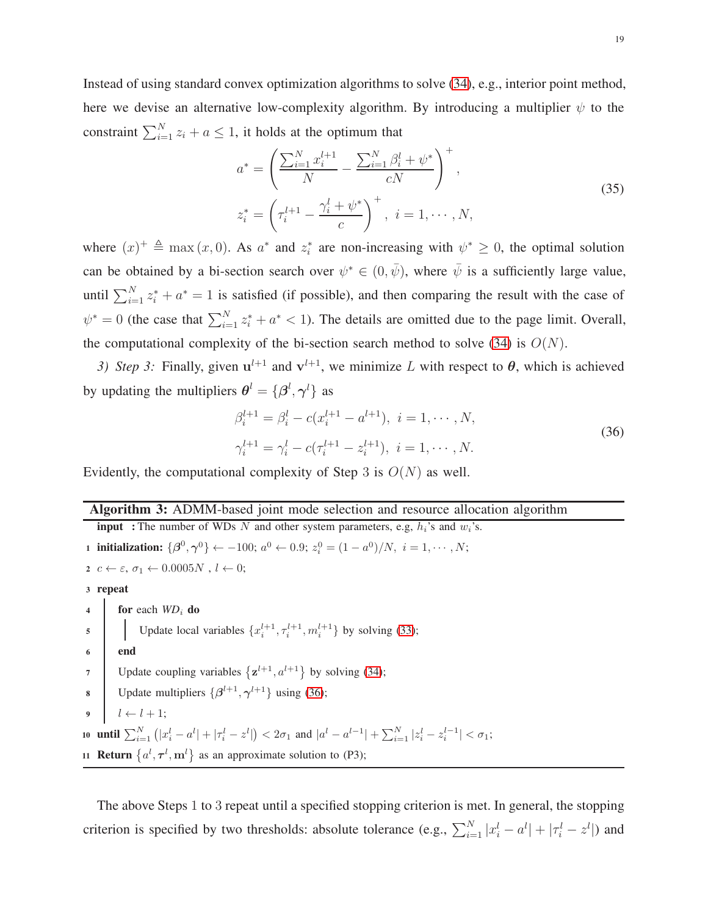Instead of using standard convex optimization algorithms to solve [\(34\)](#page-17-4), e.g., interior point method, here we devise an alternative low-complexity algorithm. By introducing a multiplier  $\psi$  to the constraint  $\sum_{i=1}^{N} z_i + a \leq 1$ , it holds at the optimum that

$$
a^* = \left(\frac{\sum_{i=1}^N x_i^{l+1}}{N} - \frac{\sum_{i=1}^N \beta_i^l + \psi^*}{cN}\right)^+,
$$
  
\n
$$
z_i^* = \left(\tau_i^{l+1} - \frac{\gamma_i^l + \psi^*}{c}\right)^+, \quad i = 1, \cdots, N,
$$
\n(35)

where  $(x)^{+} \triangleq \max(x, 0)$ . As  $a^*$  and  $z_i^*$  are non-increasing with  $\psi^* \geq 0$ , the optimal solution can be obtained by a bi-section search over  $\psi^* \in (0, \bar{\psi})$ , where  $\bar{\psi}$  is a sufficiently large value, until  $\sum_{i=1}^{N} z_i^* + a^* = 1$  is satisfied (if possible), and then comparing the result with the case of  $\psi^* = 0$  (the case that  $\sum_{i=1}^{N} z_i^* + a^* < 1$ ). The details are omitted due to the page limit. Overall, the computational complexity of the bi-section search method to solve [\(34\)](#page-17-4) is  $O(N)$ .

3) Step 3: Finally, given  $u^{l+1}$  and  $v^{l+1}$ , we minimize L with respect to  $\theta$ , which is achieved by updating the multipliers  $\boldsymbol{\theta}^l = {\{\beta^l, \gamma^l\}}$  as

<span id="page-18-0"></span>
$$
\beta_i^{l+1} = \beta_i^l - c(x_i^{l+1} - a^{l+1}), \ i = 1, \cdots, N,
$$
  

$$
\gamma_i^{l+1} = \gamma_i^l - c(\tau_i^{l+1} - z_i^{l+1}), \ i = 1, \cdots, N.
$$
 (36)

Evidently, the computational complexity of Step 3 is  $O(N)$  as well.

#### Algorithm 3: ADMM-based joint mode selection and resource allocation algorithm

**input** : The number of WDs N and other system parameters, e.g,  $h_i$ 's and  $w_i$ 's. 1 initialization:  $\{\beta^0, \gamma^0\} \leftarrow -100; a^0 \leftarrow 0.9; z_i^0 = (1 - a^0)/N, i = 1, \cdots, N;$  $z \ c \leftarrow \varepsilon, \, \sigma_1 \leftarrow 0.0005N$  ,  $l \leftarrow 0;$ <sup>3</sup> repeat 4 for each *WD*<sub>i</sub> do 5 Update local variables  $\{x_i^{l+1}, \tau_i^{l+1}, m_i^{l+1}\}$  by solving [\(33\)](#page-17-3); <sup>6</sup> end 7 Update coupling variables  $\{z^{l+1}, a^{l+1}\}\$  by solving [\(34\)](#page-17-4); **8** Update multipliers  $\{\beta^{l+1}, \gamma^{l+1}\}\$ using [\(36\)](#page-18-0); 9  $l \leftarrow l + 1;$ 10 **until**  $\sum_{i=1}^{N} (|x_i^l - a^l| + |\tau_i^l - z^l|) < 2\sigma_1$  and  $|a^l - a^{l-1}| + \sum_{i=1}^{N} |z_i^l - z_i^{l-1}| < \sigma_1$ ; 11 **Return**  $\{a^l, \tau^l, m^l\}$  as an approximate solution to (P3);

The above Steps 1 to 3 repeat until a specified stopping criterion is met. In general, the stopping criterion is specified by two thresholds: absolute tolerance (e.g.,  $\sum_{i=1}^{N} |x_i^l - a^l| + |\tau_i^l - z^l|$ ) and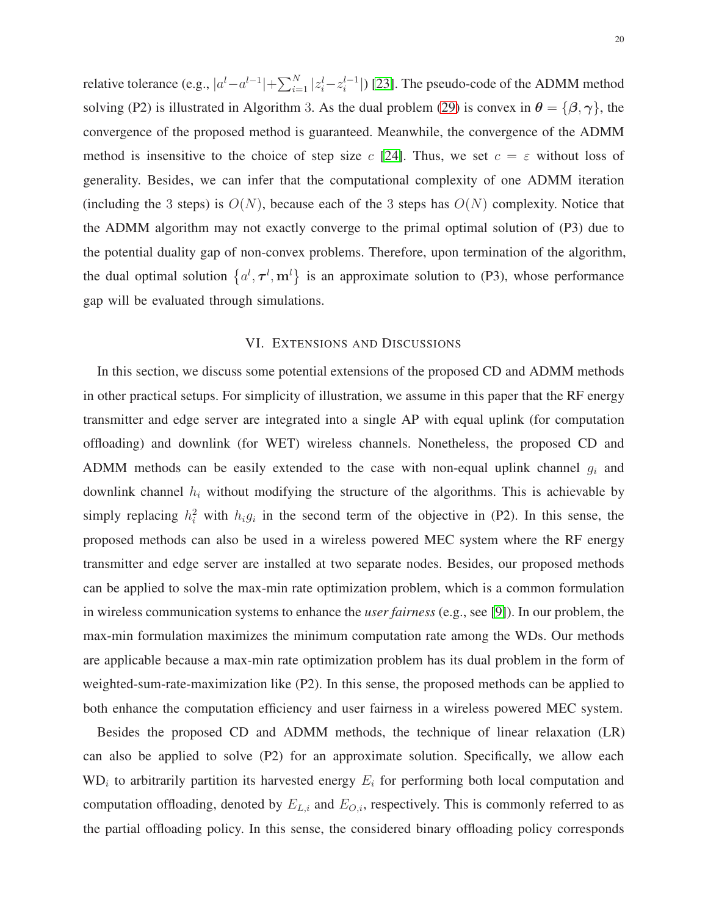relative tolerance (e.g.,  $|a^l - a^{l-1}| + \sum_{i=1}^{N} |z_i^l - z_i^{l-1}|$ ) [\[23\]](#page-29-19). The pseudo-code of the ADMM method solving (P2) is illustrated in Algorithm 3. As the dual problem [\(29\)](#page-16-1) is convex in  $\theta = {\beta, \gamma}$ , the convergence of the proposed method is guaranteed. Meanwhile, the convergence of the ADMM method is insensitive to the choice of step size c [\[24\]](#page-29-20). Thus, we set  $c = \varepsilon$  without loss of generality. Besides, we can infer that the computational complexity of one ADMM iteration (including the 3 steps) is  $O(N)$ , because each of the 3 steps has  $O(N)$  complexity. Notice that the ADMM algorithm may not exactly converge to the primal optimal solution of (P3) due to the potential duality gap of non-convex problems. Therefore, upon termination of the algorithm, the dual optimal solution  $\{a^l, \tau^l, m^l\}$  is an approximate solution to (P3), whose performance gap will be evaluated through simulations.

# VI. EXTENSIONS AND DISCUSSIONS

In this section, we discuss some potential extensions of the proposed CD and ADMM methods in other practical setups. For simplicity of illustration, we assume in this paper that the RF energy transmitter and edge server are integrated into a single AP with equal uplink (for computation offloading) and downlink (for WET) wireless channels. Nonetheless, the proposed CD and ADMM methods can be easily extended to the case with non-equal uplink channel  $g_i$  and downlink channel  $h_i$  without modifying the structure of the algorithms. This is achievable by simply replacing  $h_i^2$  with  $h_i g_i$  in the second term of the objective in (P2). In this sense, the proposed methods can also be used in a wireless powered MEC system where the RF energy transmitter and edge server are installed at two separate nodes. Besides, our proposed methods can be applied to solve the max-min rate optimization problem, which is a common formulation in wireless communication systems to enhance the *user fairness* (e.g., see [\[9\]](#page-29-5)). In our problem, the max-min formulation maximizes the minimum computation rate among the WDs. Our methods are applicable because a max-min rate optimization problem has its dual problem in the form of weighted-sum-rate-maximization like (P2). In this sense, the proposed methods can be applied to both enhance the computation efficiency and user fairness in a wireless powered MEC system.

Besides the proposed CD and ADMM methods, the technique of linear relaxation (LR) can also be applied to solve (P2) for an approximate solution. Specifically, we allow each  $WD_i$  to arbitrarily partition its harvested energy  $E_i$  for performing both local computation and computation offloading, denoted by  $E_{L,i}$  and  $E_{O,i}$ , respectively. This is commonly referred to as the partial offloading policy. In this sense, the considered binary offloading policy corresponds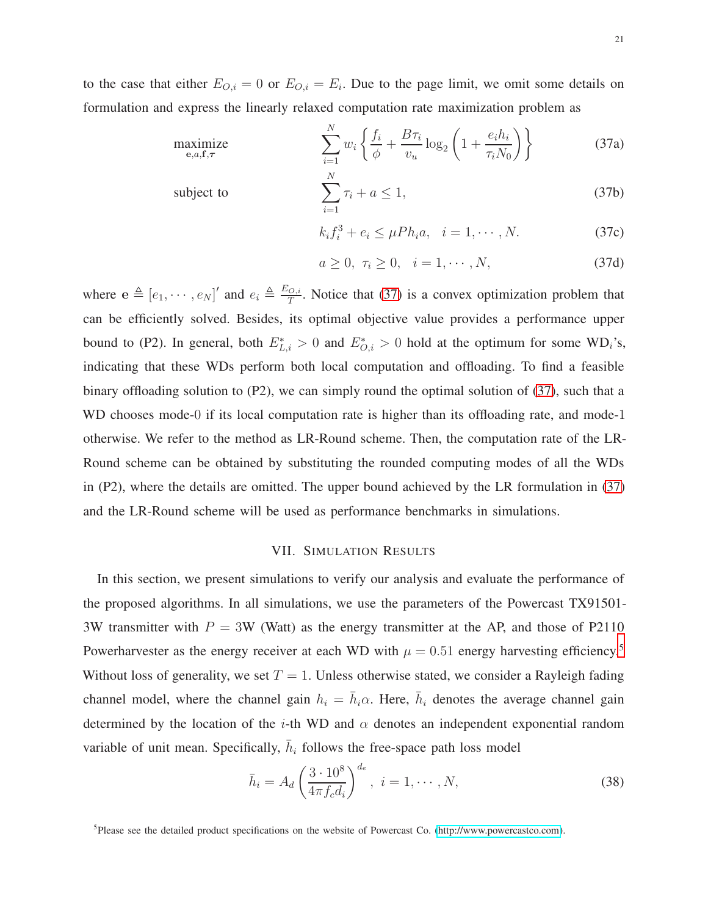<span id="page-20-0"></span>

to the case that either  $E_{O,i} = 0$  or  $E_{O,i} = E_i$ . Due to the page limit, we omit some details on formulation and express the linearly relaxed computation rate maximization problem as

$$
\underset{\mathbf{e},a,\mathbf{f},\tau}{\text{maximize}} \qquad \qquad \sum_{i=1}^{N} w_i \left\{ \frac{f_i}{\phi} + \frac{B\tau_i}{v_u} \log_2 \left( 1 + \frac{e_i h_i}{\tau_i N_0} \right) \right\} \tag{37a}
$$

subject to 
$$
\sum_{i=1}^{N} \tau_i + a \leq 1,
$$
 (37b)

$$
k_i f_i^3 + e_i \le \mu P h_i a, \quad i = 1, \cdots, N.
$$
 (37c)

$$
a \ge 0, \ \tau_i \ge 0, \quad i = 1, \cdots, N,\tag{37d}
$$

where  $\mathbf{e} \triangleq [e_1, \cdots, e_N]'$  and  $e_i \triangleq \frac{E_{O,i}}{T}$  $\frac{O_2 i}{T}$ . Notice that [\(37\)](#page-20-0) is a convex optimization problem that can be efficiently solved. Besides, its optimal objective value provides a performance upper bound to (P2). In general, both  $E_{L,i}^* > 0$  and  $E_{O,i}^* > 0$  hold at the optimum for some WD<sub>i</sub>'s, indicating that these WDs perform both local computation and offloading. To find a feasible binary offloading solution to (P2), we can simply round the optimal solution of [\(37\)](#page-20-0), such that a WD chooses mode-0 if its local computation rate is higher than its offloading rate, and mode-1 otherwise. We refer to the method as LR-Round scheme. Then, the computation rate of the LR-Round scheme can be obtained by substituting the rounded computing modes of all the WDs in (P2), where the details are omitted. The upper bound achieved by the LR formulation in [\(37\)](#page-20-0) and the LR-Round scheme will be used as performance benchmarks in simulations.

# VII. SIMULATION RESULTS

In this section, we present simulations to verify our analysis and evaluate the performance of the proposed algorithms. In all simulations, we use the parameters of the Powercast TX91501- 3W transmitter with  $P = 3W$  (Watt) as the energy transmitter at the AP, and those of P2110 Powerharvester as the energy receiver at each WD with  $\mu = 0.51$  $\mu = 0.51$  $\mu = 0.51$  energy harvesting efficiency.<sup>5</sup> Without loss of generality, we set  $T = 1$ . Unless otherwise stated, we consider a Rayleigh fading channel model, where the channel gain  $h_i = \bar{h}_i \alpha$ . Here,  $\bar{h}_i$  denotes the average channel gain determined by the location of the *i*-th WD and  $\alpha$  denotes an independent exponential random variable of unit mean. Specifically,  $\bar{h}_i$  follows the free-space path loss model

$$
\bar{h}_i = A_d \left(\frac{3 \cdot 10^8}{4\pi f_c d_i}\right)^{d_e}, \ i = 1, \cdots, N,
$$
\n(38)

<span id="page-20-1"></span><sup>&</sup>lt;sup>5</sup>Please see the detailed product specifications on the website of Powercast Co. [\(http://www.powercastco.com\)](http://www.powercastco.com).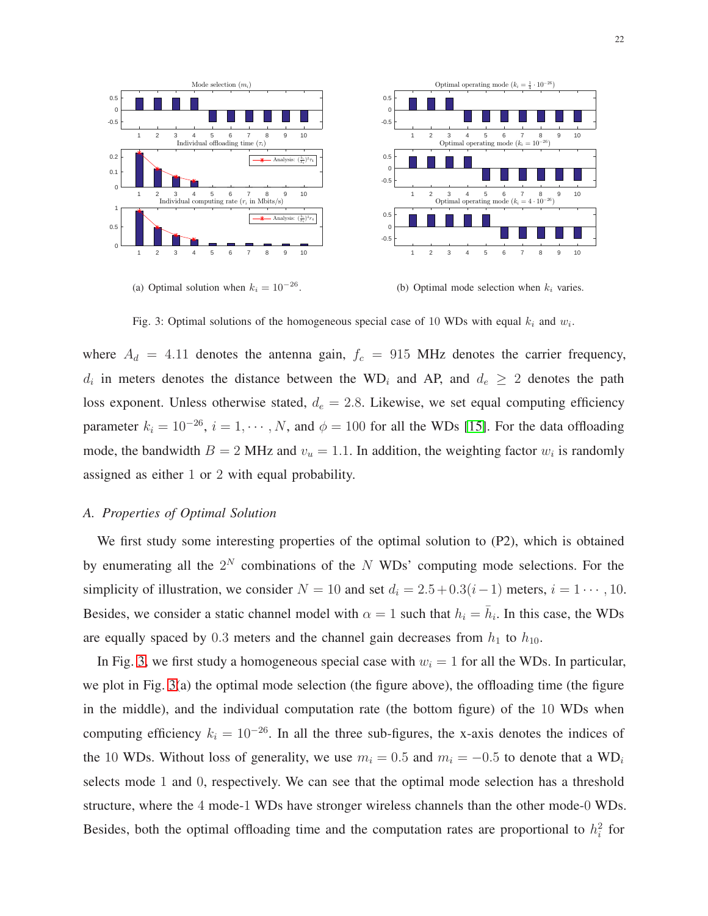

22

<span id="page-21-0"></span>

Fig. 3: Optimal solutions of the homogeneous special case of 10 WDs with equal  $k_i$  and  $w_i$ .

where  $A_d = 4.11$  denotes the antenna gain,  $f_c = 915$  MHz denotes the carrier frequency,  $d_i$  in meters denotes the distance between the WD<sub>i</sub> and AP, and  $d_e \geq 2$  denotes the path loss exponent. Unless otherwise stated,  $d_e = 2.8$ . Likewise, we set equal computing efficiency parameter  $k_i = 10^{-26}$ ,  $i = 1, \dots, N$ , and  $\phi = 100$  for all the WDs [\[15\]](#page-29-12). For the data offloading mode, the bandwidth  $B = 2$  MHz and  $v_u = 1.1$ . In addition, the weighting factor  $w_i$  is randomly assigned as either 1 or 2 with equal probability.

# *A. Properties of Optimal Solution*

We first study some interesting properties of the optimal solution to (P2), which is obtained by enumerating all the  $2^N$  combinations of the N WDs' computing mode selections. For the simplicity of illustration, we consider  $N = 10$  and set  $d_i = 2.5 + 0.3(i - 1)$  meters,  $i = 1 \cdots, 10$ . Besides, we consider a static channel model with  $\alpha = 1$  such that  $h_i = \overline{h}_i$ . In this case, the WDs are equally spaced by 0.3 meters and the channel gain decreases from  $h_1$  to  $h_{10}$ .

In Fig. [3,](#page-21-0) we first study a homogeneous special case with  $w_i = 1$  for all the WDs. In particular, we plot in Fig. [3\(](#page-21-0)a) the optimal mode selection (the figure above), the offloading time (the figure in the middle), and the individual computation rate (the bottom figure) of the 10 WDs when computing efficiency  $k_i = 10^{-26}$ . In all the three sub-figures, the x-axis denotes the indices of the 10 WDs. Without loss of generality, we use  $m_i = 0.5$  and  $m_i = -0.5$  to denote that a WD<sub>i</sub> selects mode 1 and 0, respectively. We can see that the optimal mode selection has a threshold structure, where the 4 mode-1 WDs have stronger wireless channels than the other mode-0 WDs. Besides, both the optimal offloading time and the computation rates are proportional to  $h_i^2$  for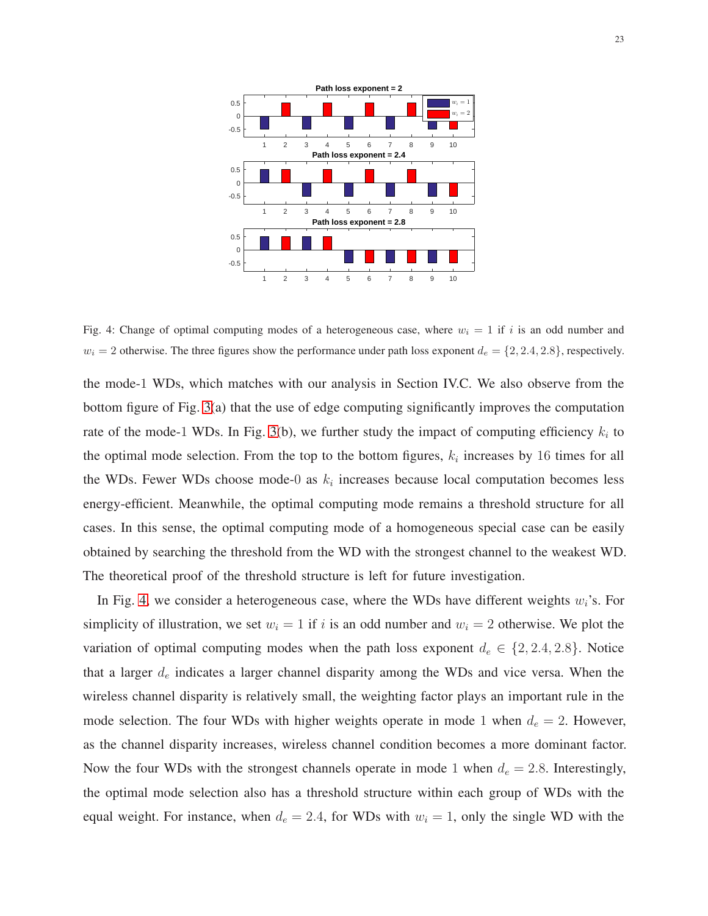<span id="page-22-0"></span>

Fig. 4: Change of optimal computing modes of a heterogeneous case, where  $w_i = 1$  if i is an odd number and  $w_i = 2$  otherwise. The three figures show the performance under path loss exponent  $d_e = \{2, 2.4, 2.8\}$ , respectively.

the mode-1 WDs, which matches with our analysis in Section IV.C. We also observe from the bottom figure of Fig. [3\(](#page-21-0)a) that the use of edge computing significantly improves the computation rate of the mode-1 WDs. In Fig. [3\(](#page-21-0)b), we further study the impact of computing efficiency  $k_i$  to the optimal mode selection. From the top to the bottom figures,  $k_i$  increases by 16 times for all the WDs. Fewer WDs choose mode-0 as  $k_i$  increases because local computation becomes less energy-efficient. Meanwhile, the optimal computing mode remains a threshold structure for all cases. In this sense, the optimal computing mode of a homogeneous special case can be easily obtained by searching the threshold from the WD with the strongest channel to the weakest WD. The theoretical proof of the threshold structure is left for future investigation.

In Fig. [4,](#page-22-0) we consider a heterogeneous case, where the WDs have different weights  $w_i$ 's. For simplicity of illustration, we set  $w_i = 1$  if i is an odd number and  $w_i = 2$  otherwise. We plot the variation of optimal computing modes when the path loss exponent  $d_e \in \{2, 2.4, 2.8\}$ . Notice that a larger  $d_e$  indicates a larger channel disparity among the WDs and vice versa. When the wireless channel disparity is relatively small, the weighting factor plays an important rule in the mode selection. The four WDs with higher weights operate in mode 1 when  $d_e = 2$ . However, as the channel disparity increases, wireless channel condition becomes a more dominant factor. Now the four WDs with the strongest channels operate in mode 1 when  $d_e = 2.8$ . Interestingly, the optimal mode selection also has a threshold structure within each group of WDs with the equal weight. For instance, when  $d_e = 2.4$ , for WDs with  $w_i = 1$ , only the single WD with the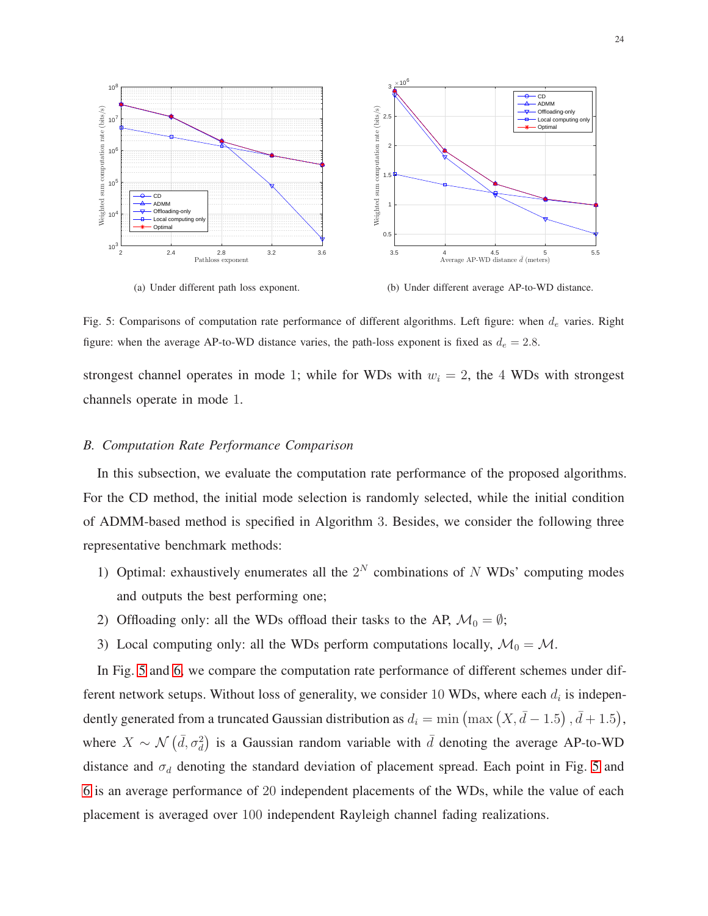<span id="page-23-0"></span>

(a) Under different path loss exponent.

(b) Under different average AP-to-WD distance.

Fig. 5: Comparisons of computation rate performance of different algorithms. Left figure: when  $d_e$  varies. Right figure: when the average AP-to-WD distance varies, the path-loss exponent is fixed as  $d_e = 2.8$ .

strongest channel operates in mode 1; while for WDs with  $w_i = 2$ , the 4 WDs with strongest channels operate in mode 1.

#### *B. Computation Rate Performance Comparison*

In this subsection, we evaluate the computation rate performance of the proposed algorithms. For the CD method, the initial mode selection is randomly selected, while the initial condition of ADMM-based method is specified in Algorithm 3. Besides, we consider the following three representative benchmark methods:

- 1) Optimal: exhaustively enumerates all the  $2^N$  combinations of N WDs' computing modes and outputs the best performing one;
- 2) Offloading only: all the WDs offload their tasks to the AP,  $\mathcal{M}_0 = \emptyset$ ;
- 3) Local computing only: all the WDs perform computations locally,  $\mathcal{M}_0 = \mathcal{M}$ .

In Fig. [5](#page-23-0) and [6,](#page-25-0) we compare the computation rate performance of different schemes under different network setups. Without loss of generality, we consider 10 WDs, where each  $d_i$  is independently generated from a truncated Gaussian distribution as  $d_i = \min \left( \max \left( X, \overline{d} - 1.5 \right), \overline{d} + 1.5 \right)$ , where  $X \sim \mathcal{N}(\bar{d}, \sigma_d^2)$  is a Gaussian random variable with  $\bar{d}$  denoting the average AP-to-WD distance and  $\sigma_d$  denoting the standard deviation of placement spread. Each point in Fig. [5](#page-23-0) and [6](#page-25-0) is an average performance of 20 independent placements of the WDs, while the value of each placement is averaged over 100 independent Rayleigh channel fading realizations.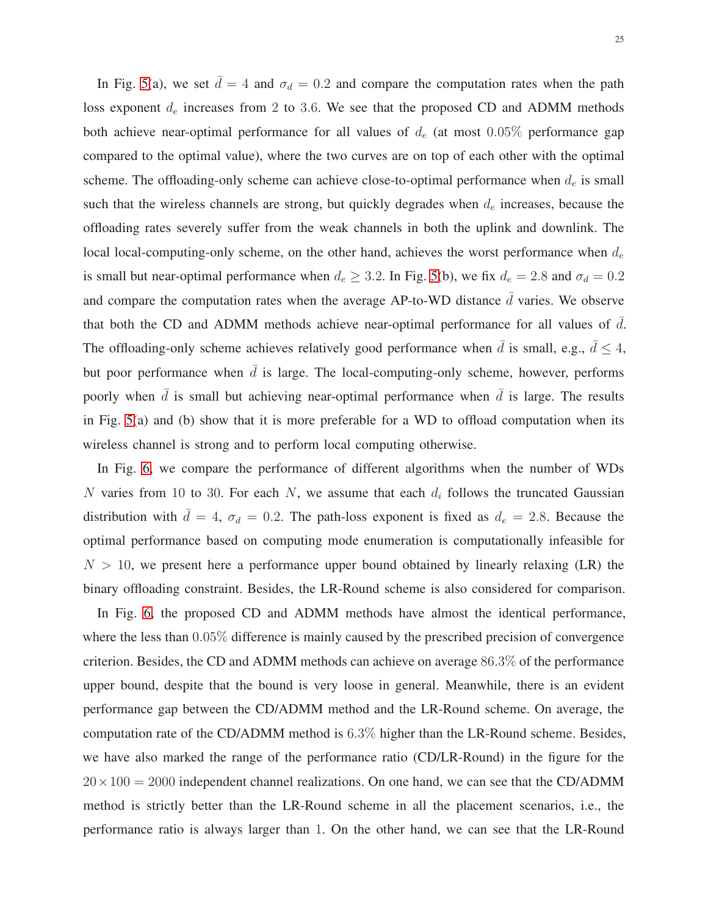In Fig. [5\(](#page-23-0)a), we set  $\bar{d} = 4$  and  $\sigma_d = 0.2$  and compare the computation rates when the path loss exponent  $d_e$  increases from 2 to 3.6. We see that the proposed CD and ADMM methods both achieve near-optimal performance for all values of  $d_e$  (at most 0.05% performance gap compared to the optimal value), where the two curves are on top of each other with the optimal scheme. The offloading-only scheme can achieve close-to-optimal performance when  $d_e$  is small such that the wireless channels are strong, but quickly degrades when  $d_e$  increases, because the offloading rates severely suffer from the weak channels in both the uplink and downlink. The local local-computing-only scheme, on the other hand, achieves the worst performance when  $d_e$ is small but near-optimal performance when  $d_e \geq 3.2$ . In Fig. [5\(](#page-23-0)b), we fix  $d_e = 2.8$  and  $\sigma_d = 0.2$ and compare the computation rates when the average AP-to-WD distance  $\overline{d}$  varies. We observe that both the CD and ADMM methods achieve near-optimal performance for all values of  $\overline{d}$ . The offloading-only scheme achieves relatively good performance when  $\bar{d}$  is small, e.g.,  $\bar{d} \leq 4$ , but poor performance when  $\bar{d}$  is large. The local-computing-only scheme, however, performs poorly when  $\bar{d}$  is small but achieving near-optimal performance when  $\bar{d}$  is large. The results in Fig. [5\(](#page-23-0)a) and (b) show that it is more preferable for a WD to offload computation when its wireless channel is strong and to perform local computing otherwise.

In Fig. [6,](#page-25-0) we compare the performance of different algorithms when the number of WDs N varies from 10 to 30. For each N, we assume that each  $d_i$  follows the truncated Gaussian distribution with  $\bar{d} = 4$ ,  $\sigma_d = 0.2$ . The path-loss exponent is fixed as  $d_e = 2.8$ . Because the optimal performance based on computing mode enumeration is computationally infeasible for  $N > 10$ , we present here a performance upper bound obtained by linearly relaxing (LR) the binary offloading constraint. Besides, the LR-Round scheme is also considered for comparison.

In Fig. [6,](#page-25-0) the proposed CD and ADMM methods have almost the identical performance, where the less than 0.05% difference is mainly caused by the prescribed precision of convergence criterion. Besides, the CD and ADMM methods can achieve on average 86.3% of the performance upper bound, despite that the bound is very loose in general. Meanwhile, there is an evident performance gap between the CD/ADMM method and the LR-Round scheme. On average, the computation rate of the CD/ADMM method is 6.3% higher than the LR-Round scheme. Besides, we have also marked the range of the performance ratio (CD/LR-Round) in the figure for the  $20 \times 100 = 2000$  independent channel realizations. On one hand, we can see that the CD/ADMM method is strictly better than the LR-Round scheme in all the placement scenarios, i.e., the performance ratio is always larger than 1. On the other hand, we can see that the LR-Round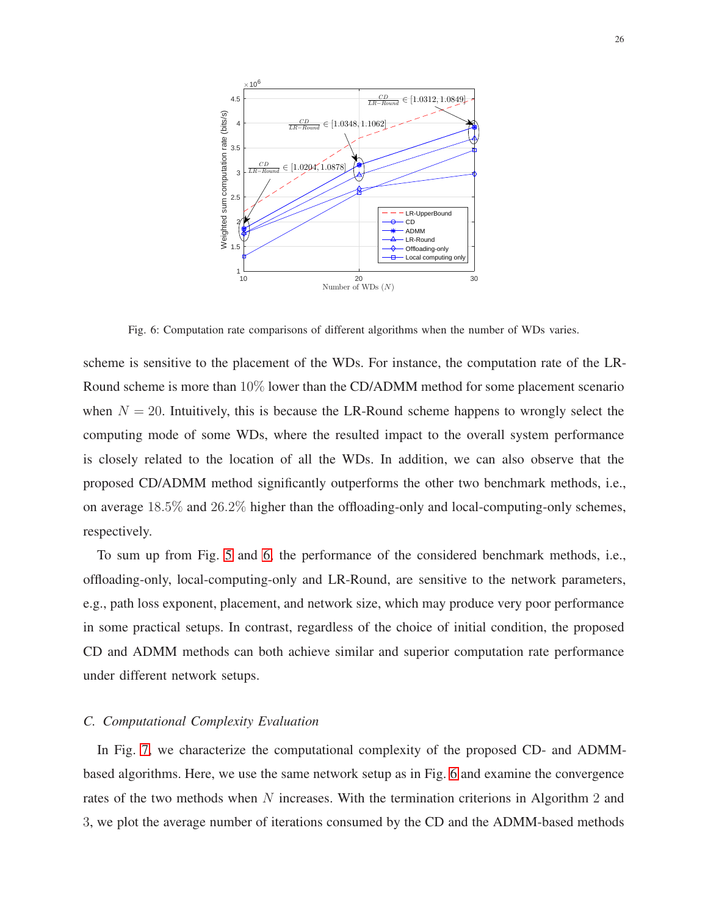<span id="page-25-0"></span>

Fig. 6: Computation rate comparisons of different algorithms when the number of WDs varies.

scheme is sensitive to the placement of the WDs. For instance, the computation rate of the LR-Round scheme is more than 10% lower than the CD/ADMM method for some placement scenario when  $N = 20$ . Intuitively, this is because the LR-Round scheme happens to wrongly select the computing mode of some WDs, where the resulted impact to the overall system performance is closely related to the location of all the WDs. In addition, we can also observe that the proposed CD/ADMM method significantly outperforms the other two benchmark methods, i.e., on average 18.5% and 26.2% higher than the offloading-only and local-computing-only schemes, respectively.

To sum up from Fig. [5](#page-23-0) and [6,](#page-25-0) the performance of the considered benchmark methods, i.e., offloading-only, local-computing-only and LR-Round, are sensitive to the network parameters, e.g., path loss exponent, placement, and network size, which may produce very poor performance in some practical setups. In contrast, regardless of the choice of initial condition, the proposed CD and ADMM methods can both achieve similar and superior computation rate performance under different network setups.

#### *C. Computational Complexity Evaluation*

In Fig. [7,](#page-26-0) we characterize the computational complexity of the proposed CD- and ADMMbased algorithms. Here, we use the same network setup as in Fig. [6](#page-25-0) and examine the convergence rates of the two methods when N increases. With the termination criterions in Algorithm 2 and 3, we plot the average number of iterations consumed by the CD and the ADMM-based methods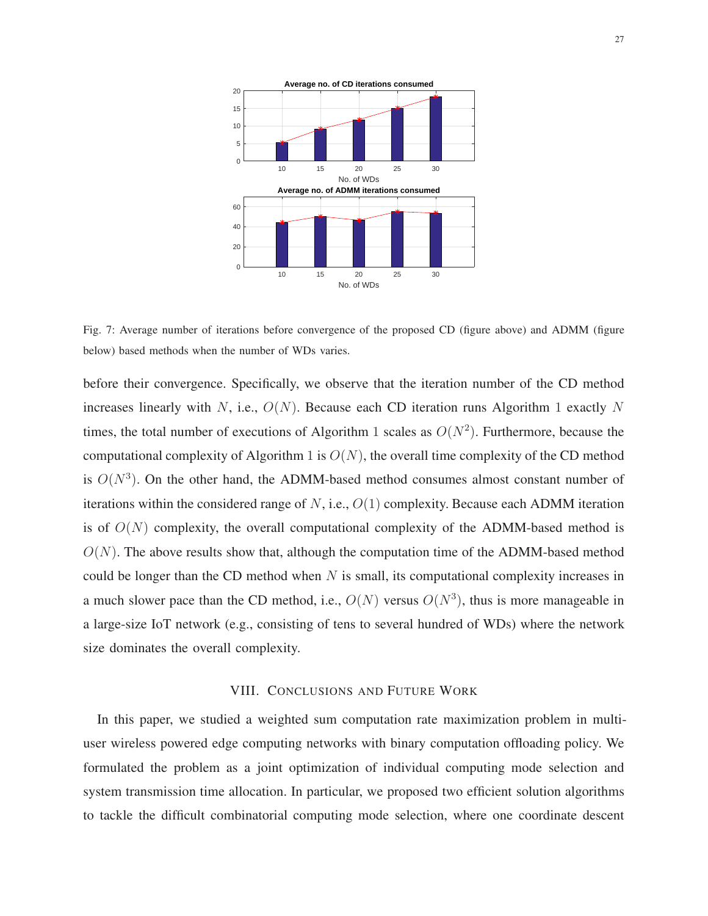<span id="page-26-0"></span>

Fig. 7: Average number of iterations before convergence of the proposed CD (figure above) and ADMM (figure below) based methods when the number of WDs varies.

before their convergence. Specifically, we observe that the iteration number of the CD method increases linearly with N, i.e.,  $O(N)$ . Because each CD iteration runs Algorithm 1 exactly N times, the total number of executions of Algorithm 1 scales as  $O(N^2)$ . Furthermore, because the computational complexity of Algorithm 1 is  $O(N)$ , the overall time complexity of the CD method is  $O(N^3)$ . On the other hand, the ADMM-based method consumes almost constant number of iterations within the considered range of N, i.e.,  $O(1)$  complexity. Because each ADMM iteration is of  $O(N)$  complexity, the overall computational complexity of the ADMM-based method is  $O(N)$ . The above results show that, although the computation time of the ADMM-based method could be longer than the CD method when  $N$  is small, its computational complexity increases in a much slower pace than the CD method, i.e.,  $O(N)$  versus  $O(N^3)$ , thus is more manageable in a large-size IoT network (e.g., consisting of tens to several hundred of WDs) where the network size dominates the overall complexity.

#### VIII. CONCLUSIONS AND FUTURE WORK

In this paper, we studied a weighted sum computation rate maximization problem in multiuser wireless powered edge computing networks with binary computation offloading policy. We formulated the problem as a joint optimization of individual computing mode selection and system transmission time allocation. In particular, we proposed two efficient solution algorithms to tackle the difficult combinatorial computing mode selection, where one coordinate descent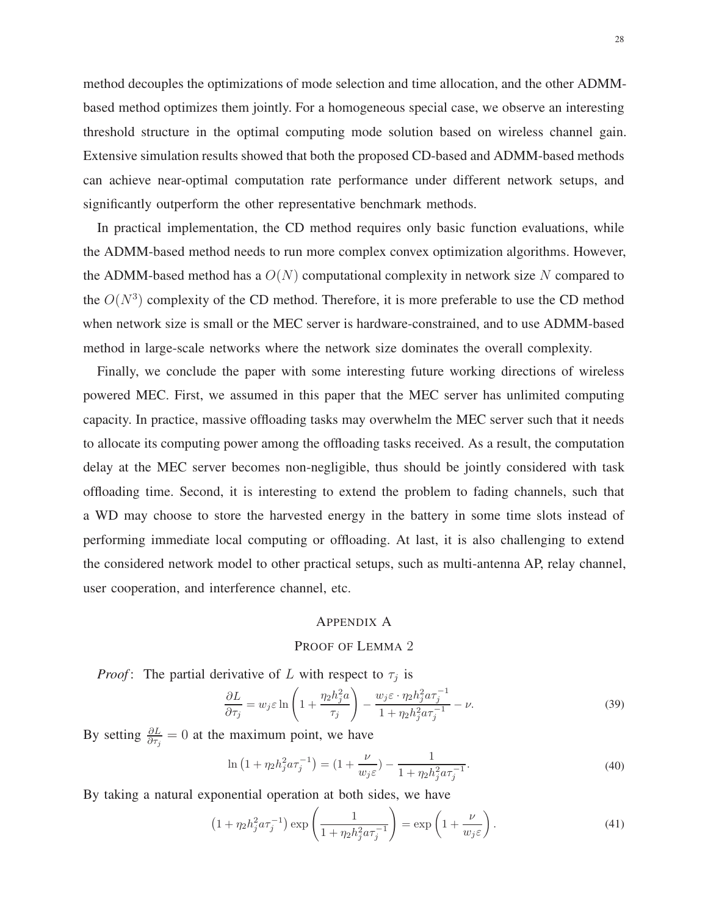method decouples the optimizations of mode selection and time allocation, and the other ADMMbased method optimizes them jointly. For a homogeneous special case, we observe an interesting threshold structure in the optimal computing mode solution based on wireless channel gain. Extensive simulation results showed that both the proposed CD-based and ADMM-based methods can achieve near-optimal computation rate performance under different network setups, and significantly outperform the other representative benchmark methods.

In practical implementation, the CD method requires only basic function evaluations, while the ADMM-based method needs to run more complex convex optimization algorithms. However, the ADMM-based method has a  $O(N)$  computational complexity in network size N compared to the  $O(N^3)$  complexity of the CD method. Therefore, it is more preferable to use the CD method when network size is small or the MEC server is hardware-constrained, and to use ADMM-based method in large-scale networks where the network size dominates the overall complexity.

Finally, we conclude the paper with some interesting future working directions of wireless powered MEC. First, we assumed in this paper that the MEC server has unlimited computing capacity. In practice, massive offloading tasks may overwhelm the MEC server such that it needs to allocate its computing power among the offloading tasks received. As a result, the computation delay at the MEC server becomes non-negligible, thus should be jointly considered with task offloading time. Second, it is interesting to extend the problem to fading channels, such that a WD may choose to store the harvested energy in the battery in some time slots instead of performing immediate local computing or offloading. At last, it is also challenging to extend the considered network model to other practical setups, such as multi-antenna AP, relay channel, user cooperation, and interference channel, etc.

#### APPENDIX A

#### <span id="page-27-0"></span>PROOF OF LEMMA 2

*Proof*: The partial derivative of L with respect to  $\tau_j$  is

$$
\frac{\partial L}{\partial \tau_j} = w_j \varepsilon \ln \left( 1 + \frac{\eta_2 h_j^2 a}{\tau_j} \right) - \frac{w_j \varepsilon \cdot \eta_2 h_j^2 a \tau_j^{-1}}{1 + \eta_2 h_j^2 a \tau_j^{-1}} - \nu.
$$
\n(39)

By setting  $\frac{\partial L}{\partial \tau_j} = 0$  at the maximum point, we have

$$
\ln\left(1+\eta_2 h_j^2 a \tau_j^{-1}\right) = \left(1+\frac{\nu}{w_j \varepsilon}\right) - \frac{1}{1+\eta_2 h_j^2 a \tau_j^{-1}}.
$$
\n(40)

By taking a natural exponential operation at both sides, we have

$$
\left(1 + \eta_2 h_j^2 a \tau_j^{-1}\right) \exp\left(\frac{1}{1 + \eta_2 h_j^2 a \tau_j^{-1}}\right) = \exp\left(1 + \frac{\nu}{w_j \varepsilon}\right). \tag{41}
$$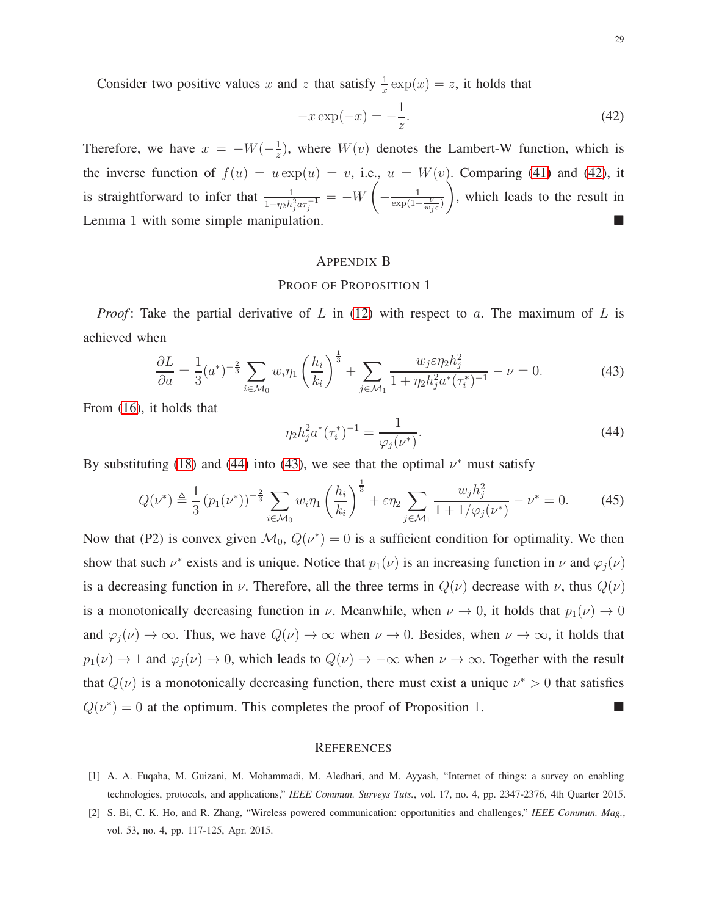Consider two positive values x and z that satisfy  $\frac{1}{x} \exp(x) = z$ , it holds that

<span id="page-28-2"></span>
$$
-x\exp(-x) = -\frac{1}{z}.
$$
\n(42)

Therefore, we have  $x = -W(-\frac{1}{x})$  $\frac{1}{z}$ ), where  $W(v)$  denotes the Lambert-W function, which is the inverse function of  $f(u) = u \exp(u) = v$ , i.e.,  $u = W(v)$ . Comparing [\(41\)](#page-27-0) and [\(42\)](#page-28-2), it is straightforward to infer that  $\frac{1}{1+n_2h_j^2a\tau_j^{-1}} = -W\left(-\frac{1}{\exp(1+\frac{\nu}{w_j\varepsilon})}\right)$  , which leads to the result in Lemma 1 with some simple manipulation.

# APPENDIX B

# PROOF OF PROPOSITION 1

*Proof*: Take the partial derivative of L in [\(12\)](#page-10-0) with respect to a. The maximum of L is achieved when

<span id="page-28-4"></span>
$$
\frac{\partial L}{\partial a} = \frac{1}{3} (a^*)^{-\frac{2}{3}} \sum_{i \in \mathcal{M}_0} w_i \eta_1 \left(\frac{h_i}{k_i}\right)^{\frac{1}{3}} + \sum_{j \in \mathcal{M}_1} \frac{w_j \varepsilon \eta_2 h_j^2}{1 + \eta_2 h_j^2 a^* (\tau_i^*)^{-1}} - \nu = 0. \tag{43}
$$

From [\(16\)](#page-11-1), it holds that

<span id="page-28-3"></span>
$$
\eta_2 h_j^2 a^* (\tau_i^*)^{-1} = \frac{1}{\varphi_j(\nu^*)}.
$$
\n(44)

By substituting [\(18\)](#page-11-2) and [\(44\)](#page-28-3) into [\(43\)](#page-28-4), we see that the optimal  $\nu^*$  must satisfy

$$
Q(\nu^*) \triangleq \frac{1}{3} (p_1(\nu^*))^{-\frac{2}{3}} \sum_{i \in \mathcal{M}_0} w_i \eta_1 \left(\frac{h_i}{k_i}\right)^{\frac{1}{3}} + \varepsilon \eta_2 \sum_{j \in \mathcal{M}_1} \frac{w_j h_j^2}{1 + 1/\varphi_j(\nu^*)} - \nu^* = 0. \tag{45}
$$

Now that (P2) is convex given  $\mathcal{M}_0$ ,  $Q(\nu^*) = 0$  is a sufficient condition for optimality. We then show that such  $\nu^*$  exists and is unique. Notice that  $p_1(\nu)$  is an increasing function in  $\nu$  and  $\varphi_j(\nu)$ is a decreasing function in  $\nu$ . Therefore, all the three terms in  $Q(\nu)$  decrease with  $\nu$ , thus  $Q(\nu)$ is a monotonically decreasing function in  $\nu$ . Meanwhile, when  $\nu \to 0$ , it holds that  $p_1(\nu) \to 0$ and  $\varphi_j(\nu) \to \infty$ . Thus, we have  $Q(\nu) \to \infty$  when  $\nu \to 0$ . Besides, when  $\nu \to \infty$ , it holds that  $p_1(\nu) \to 1$  and  $\varphi_j(\nu) \to 0$ , which leads to  $Q(\nu) \to -\infty$  when  $\nu \to \infty$ . Together with the result that  $Q(\nu)$  is a monotonically decreasing function, there must exist a unique  $\nu^* > 0$  that satisfies  $Q(\nu^*) = 0$  at the optimum. This completes the proof of Proposition 1.

#### **REFERENCES**

- <span id="page-28-1"></span><span id="page-28-0"></span>[1] A. A. Fuqaha, M. Guizani, M. Mohammadi, M. Aledhari, and M. Ayyash, "Internet of things: a survey on enabling technologies, protocols, and applications," *IEEE Commun. Surveys Tuts.*, vol. 17, no. 4, pp. 2347-2376, 4th Quarter 2015.
- [2] S. Bi, C. K. Ho, and R. Zhang, "Wireless powered communication: opportunities and challenges," *IEEE Commun. Mag.*, vol. 53, no. 4, pp. 117-125, Apr. 2015.